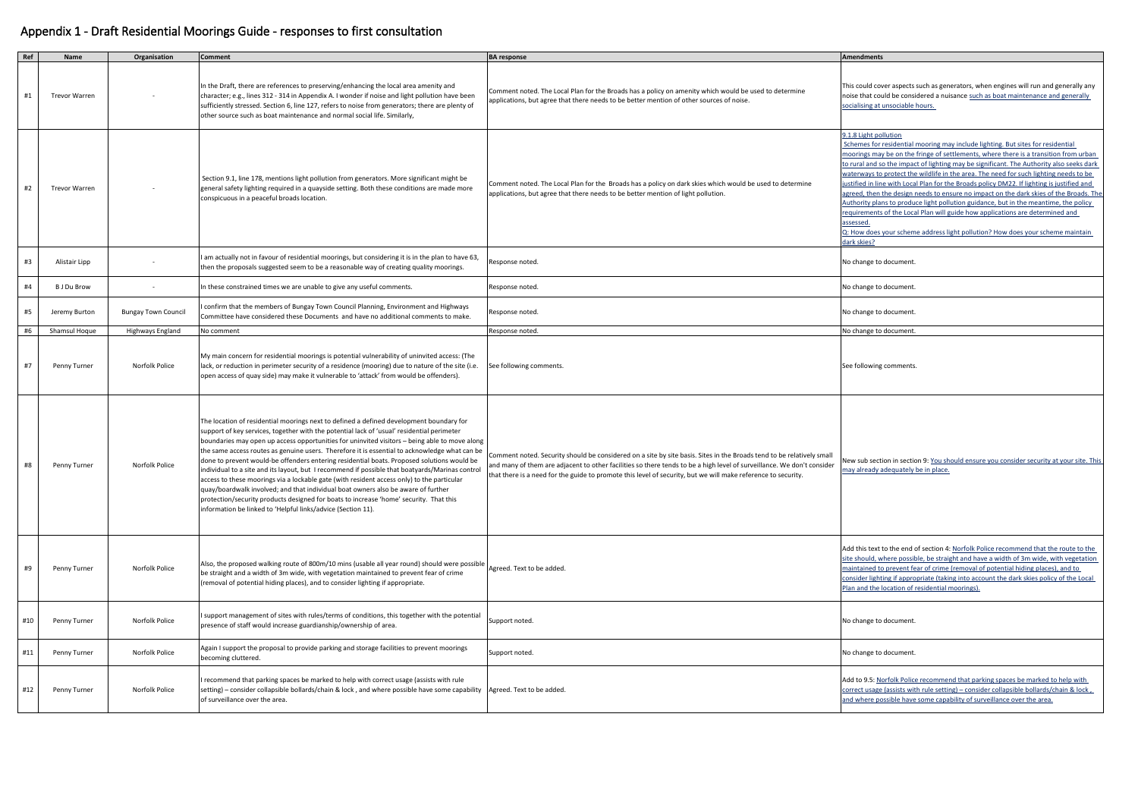| Ref | Name                 | Organisation               | <b>Comment</b>                                                                                                                                                                                                                                                                                                                                                                                                                                                                                                                                                                                                                                                                                                                                                                                                                                                                                                                        | <b>BA</b> response                                                                                                                                                                                                                                                                                                                                               | <b>Amendments</b>                                                                                                                                                                                                                                                                                         |
|-----|----------------------|----------------------------|---------------------------------------------------------------------------------------------------------------------------------------------------------------------------------------------------------------------------------------------------------------------------------------------------------------------------------------------------------------------------------------------------------------------------------------------------------------------------------------------------------------------------------------------------------------------------------------------------------------------------------------------------------------------------------------------------------------------------------------------------------------------------------------------------------------------------------------------------------------------------------------------------------------------------------------|------------------------------------------------------------------------------------------------------------------------------------------------------------------------------------------------------------------------------------------------------------------------------------------------------------------------------------------------------------------|-----------------------------------------------------------------------------------------------------------------------------------------------------------------------------------------------------------------------------------------------------------------------------------------------------------|
| #1  | <b>Trevor Warren</b> |                            | In the Draft, there are references to preserving/enhancing the local area amenity and<br>character; e.g., lines 312 - 314 in Appendix A. I wonder if noise and light pollution have been<br>sufficiently stressed. Section 6, line 127, refers to noise from generators; there are plenty of<br>other source such as boat maintenance and normal social life. Similarly,                                                                                                                                                                                                                                                                                                                                                                                                                                                                                                                                                              | Comment noted. The Local Plan for the Broads has a policy on amenity which would be used to determine<br>applications, but agree that there needs to be better mention of other sources of noise.                                                                                                                                                                | This could cover aspects<br>noise that could be cons<br>socialising at unsociable                                                                                                                                                                                                                         |
| #2  | <b>Trevor Warren</b> |                            | Section 9.1, line 178, mentions light pollution from generators. More significant might be<br>general safety lighting required in a quayside setting. Both these conditions are made more<br>conspicuous in a peaceful broads location.                                                                                                                                                                                                                                                                                                                                                                                                                                                                                                                                                                                                                                                                                               | Comment noted. The Local Plan for the Broads has a policy on dark skies which would be used to determine<br>applications, but agree that there needs to be better mention of light pollution.                                                                                                                                                                    | 0.1.8 Light pollution<br>Schemes for residential<br>moorings may be on the<br>to rural and so the impa<br>waterways to protect the<br>justified in line with Loca<br>agreed, then the design<br>Authority plans to produ<br>requirements of the Loc<br>assessed.<br>Q: How does your schen<br>dark skies? |
| #3  | Alistair Lipp        |                            | I am actually not in favour of residential moorings, but considering it is in the plan to have 63,<br>then the proposals suggested seem to be a reasonable way of creating quality moorings.                                                                                                                                                                                                                                                                                                                                                                                                                                                                                                                                                                                                                                                                                                                                          | Response noted.                                                                                                                                                                                                                                                                                                                                                  | No change to document                                                                                                                                                                                                                                                                                     |
| #4  | <b>B J Du Brow</b>   |                            | In these constrained times we are unable to give any useful comments.                                                                                                                                                                                                                                                                                                                                                                                                                                                                                                                                                                                                                                                                                                                                                                                                                                                                 | Response noted.                                                                                                                                                                                                                                                                                                                                                  | No change to document                                                                                                                                                                                                                                                                                     |
| #5  | Jeremy Burton        | <b>Bungay Town Council</b> | confirm that the members of Bungay Town Council Planning, Environment and Highways<br>Committee have considered these Documents and have no additional comments to make.                                                                                                                                                                                                                                                                                                                                                                                                                                                                                                                                                                                                                                                                                                                                                              | Response noted.                                                                                                                                                                                                                                                                                                                                                  | No change to document                                                                                                                                                                                                                                                                                     |
| #6  | <b>Shamsul Hoque</b> | Highways England           | No comment                                                                                                                                                                                                                                                                                                                                                                                                                                                                                                                                                                                                                                                                                                                                                                                                                                                                                                                            | Response noted.                                                                                                                                                                                                                                                                                                                                                  | No change to document                                                                                                                                                                                                                                                                                     |
| #7  | Penny Turner         | Norfolk Police             | My main concern for residential moorings is potential vulnerability of uninvited access: (The<br>lack, or reduction in perimeter security of a residence (mooring) due to nature of the site (i.e.<br>open access of quay side) may make it vulnerable to 'attack' from would be offenders).                                                                                                                                                                                                                                                                                                                                                                                                                                                                                                                                                                                                                                          | See following comments.                                                                                                                                                                                                                                                                                                                                          | See following comments                                                                                                                                                                                                                                                                                    |
| #8  | Penny Turner         | Norfolk Police             | The location of residential moorings next to defined a defined development boundary for<br>support of key services, together with the potential lack of 'usual' residential perimeter<br>boundaries may open up access opportunities for uninvited visitors - being able to move along<br>the same access routes as genuine users. Therefore it is essential to acknowledge what can be<br>done to prevent would-be offenders entering residential boats. Proposed solutions would be<br>individual to a site and its layout, but I recommend if possible that boatyards/Marinas control<br>access to these moorings via a lockable gate (with resident access only) to the particular<br>quay/boardwalk involved; and that individual boat owners also be aware of further<br>protection/security products designed for boats to increase 'home' security. That this<br>information be linked to 'Helpful links/advice (Section 11). | Comment noted. Security should be considered on a site by site basis. Sites in the Broads tend to be relatively small<br>and many of them are adjacent to other facilities so there tends to be a high level of surveillance. We don't consider<br>that there is a need for the guide to promote this level of security, but we will make reference to security. | New sub section in secti<br>may already adequately                                                                                                                                                                                                                                                        |
| #9  | Penny Turner         | Norfolk Police             | Also, the proposed walking route of 800m/10 mins (usable all year round) should were possible<br>be straight and a width of 3m wide, with vegetation maintained to prevent fear of crime<br>(removal of potential hiding places), and to consider lighting if appropriate.                                                                                                                                                                                                                                                                                                                                                                                                                                                                                                                                                                                                                                                            | Agreed. Text to be added.                                                                                                                                                                                                                                                                                                                                        | Add this text to the end<br>site should, where possi<br>maintained to prevent fe<br>consider lighting if appro<br>Plan and the location of                                                                                                                                                                |
| #10 | Penny Turner         | Norfolk Police             | support management of sites with rules/terms of conditions, this together with the potential<br>presence of staff would increase guardianship/ownership of area.                                                                                                                                                                                                                                                                                                                                                                                                                                                                                                                                                                                                                                                                                                                                                                      | Support noted.                                                                                                                                                                                                                                                                                                                                                   | No change to document                                                                                                                                                                                                                                                                                     |
| #11 | Penny Turner         | Norfolk Police             | Again I support the proposal to provide parking and storage facilities to prevent moorings<br>becoming cluttered.                                                                                                                                                                                                                                                                                                                                                                                                                                                                                                                                                                                                                                                                                                                                                                                                                     | Support noted.                                                                                                                                                                                                                                                                                                                                                   | No change to document                                                                                                                                                                                                                                                                                     |
| #12 | Penny Turner         | Norfolk Police             | recommend that parking spaces be marked to help with correct usage (assists with rule<br>setting) – consider collapsible bollards/chain & lock, and where possible have some capability   Agreed. Text to be added.<br>of surveillance over the area.                                                                                                                                                                                                                                                                                                                                                                                                                                                                                                                                                                                                                                                                                 |                                                                                                                                                                                                                                                                                                                                                                  | Add to 9.5: Norfolk Polic<br>correct usage (assists wi<br>and where possible have                                                                                                                                                                                                                         |

could cover aspects such as generators, when engines will run and generally any e that could be considered a nuisance such as boat maintenance and generally alising at unsociable hours.

### **B** Light pollution

emes for residential mooring may include lighting. But sites for residential rings may be on the fringe of settlements, where there is a transition from urban Iral and so the impact of lighting may be significant. The Authority also seeks dark erways to protect the wildlife in the area. The need for such lighting needs to be fied in line with Local Plan for the Broads policy DM22. If lighting is justified and ed, then the design needs to ensure no impact on the dark skies of the Broads. The hority plans to produce light pollution guidance, but in the meantime, the policy irements of the Local Plan will guide how applications are determined and ssed.

ow does your scheme address light pollution? How does your scheme maintain skies?

sub section in section 9: You should ensure you consider security at your site. This already adequately be in place.

this text to the end of section 4: Norfolk Police recommend that the route to the should, where possible, be straight and have a width of 3m wide, with vegetation tained to prevent fear of crime (removal of potential hiding places), and to ider lighting if appropriate (taking into account the dark skies policy of the Local and the location of residential moorings).

to 9.5: Norfolk Police recommend that parking spaces be marked to help with ect usage (assists with rule setting) – consider collapsible bollards/chain & lock, where possible have some capability of surveillance over the area.

# Appendix 1 - Draft Residential Moorings Guide - responses to first consultation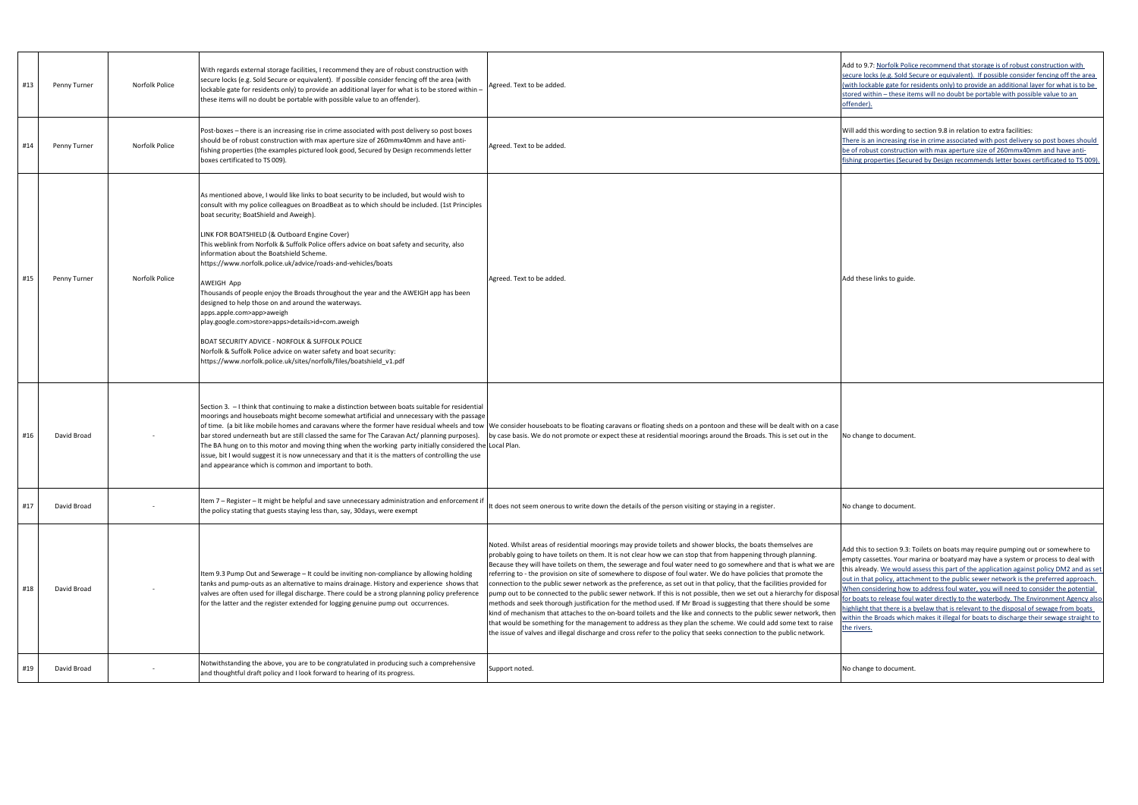| Penny Turner<br>#13 | Norfolk Police | With regards external storage facilities, I recommend they are of robust construction with<br>secure locks (e.g. Sold Secure or equivalent). If possible consider fencing off the area (with<br>lockable gate for residents only) to provide an additional layer for what is to be stored within -<br>these items will no doubt be portable with possible value to an offender).                                                                                                                                                                                                                                                                                                                                                                                                                                                                                                                                                                       | Agreed. Text to be added.                                                                                                                                                                                                                                                                                                                                                                                                                                                                                                                                                                                                                                                                                                                                                                                                                                                                                                                                                                                                                                                                                                                                                                                    | Add to 9.7: Norfolk Polic<br>secure locks (e.g. Sold Se<br>(with lockable gate for re<br>stored within – these ite<br>offender).                                                                                                                       |
|---------------------|----------------|--------------------------------------------------------------------------------------------------------------------------------------------------------------------------------------------------------------------------------------------------------------------------------------------------------------------------------------------------------------------------------------------------------------------------------------------------------------------------------------------------------------------------------------------------------------------------------------------------------------------------------------------------------------------------------------------------------------------------------------------------------------------------------------------------------------------------------------------------------------------------------------------------------------------------------------------------------|--------------------------------------------------------------------------------------------------------------------------------------------------------------------------------------------------------------------------------------------------------------------------------------------------------------------------------------------------------------------------------------------------------------------------------------------------------------------------------------------------------------------------------------------------------------------------------------------------------------------------------------------------------------------------------------------------------------------------------------------------------------------------------------------------------------------------------------------------------------------------------------------------------------------------------------------------------------------------------------------------------------------------------------------------------------------------------------------------------------------------------------------------------------------------------------------------------------|--------------------------------------------------------------------------------------------------------------------------------------------------------------------------------------------------------------------------------------------------------|
| #14<br>Penny Turner | Norfolk Police | Post-boxes – there is an increasing rise in crime associated with post delivery so post boxes<br>should be of robust construction with max aperture size of 260mmx40mm and have anti-<br>fishing properties (the examples pictured look good, Secured by Design recommends letter<br>boxes certificated to TS 009).                                                                                                                                                                                                                                                                                                                                                                                                                                                                                                                                                                                                                                    | Agreed. Text to be added.                                                                                                                                                                                                                                                                                                                                                                                                                                                                                                                                                                                                                                                                                                                                                                                                                                                                                                                                                                                                                                                                                                                                                                                    | Will add this wording to<br>There is an increasing ris<br>be of robust constructio<br>fishing properties (Secur                                                                                                                                        |
| #15<br>Penny Turner | Norfolk Police | As mentioned above, I would like links to boat security to be included, but would wish to<br>consult with my police colleagues on BroadBeat as to which should be included. (1st Principles<br>boat security; BoatShield and Aweigh).<br>LINK FOR BOATSHIELD (& Outboard Engine Cover)<br>This weblink from Norfolk & Suffolk Police offers advice on boat safety and security, also<br>information about the Boatshield Scheme.<br>https://www.norfolk.police.uk/advice/roads-and-vehicles/boats<br><b>AWEIGH App</b><br>Thousands of people enjoy the Broads throughout the year and the AWEIGH app has been<br>designed to help those on and around the waterways.<br>apps.apple.com>app>aweigh<br>play.google.com>store>apps>details>id=com.aweigh<br>BOAT SECURITY ADVICE - NORFOLK & SUFFOLK POLICE<br>Norfolk & Suffolk Police advice on water safety and boat security:<br>https://www.norfolk.police.uk/sites/norfolk/files/boatshield_v1.pdf | Agreed. Text to be added.                                                                                                                                                                                                                                                                                                                                                                                                                                                                                                                                                                                                                                                                                                                                                                                                                                                                                                                                                                                                                                                                                                                                                                                    | Add these links to guide.                                                                                                                                                                                                                              |
| #16<br>David Broad  |                | Section 3. - I think that continuing to make a distinction between boats suitable for residential<br>moorings and houseboats might become somewhat artificial and unnecessary with the passage<br>of time. (a bit like mobile homes and caravans where the former have residual wheels and tow<br>bar stored underneath but are still classed the same for The Caravan Act/ planning purposes).<br>The BA hung on to this motor and moving thing when the working party initially considered the Local Plan.<br>issue, bit I would suggest it is now unnecessary and that it is the matters of controlling the use<br>and appearance which is common and important to both.                                                                                                                                                                                                                                                                            | We consider houseboats to be floating caravans or floating sheds on a pontoon and these will be dealt with on a case<br>by case basis. We do not promote or expect these at residential moorings around the Broads. This is set out in the                                                                                                                                                                                                                                                                                                                                                                                                                                                                                                                                                                                                                                                                                                                                                                                                                                                                                                                                                                   | No change to document                                                                                                                                                                                                                                  |
| #17<br>David Broad  |                | Item 7 - Register - It might be helpful and save unnecessary administration and enforcement if<br>the policy stating that guests staying less than, say, 30days, were exempt                                                                                                                                                                                                                                                                                                                                                                                                                                                                                                                                                                                                                                                                                                                                                                           | It does not seem onerous to write down the details of the person visiting or staying in a register.                                                                                                                                                                                                                                                                                                                                                                                                                                                                                                                                                                                                                                                                                                                                                                                                                                                                                                                                                                                                                                                                                                          | No change to document                                                                                                                                                                                                                                  |
| #18<br>David Broad  |                | Item 9.3 Pump Out and Sewerage - It could be inviting non-compliance by allowing holding<br>tanks and pump-outs as an alternative to mains drainage. History and experience shows that<br>valves are often used for illegal discharge. There could be a strong planning policy preference<br>for the latter and the register extended for logging genuine pump out occurrences.                                                                                                                                                                                                                                                                                                                                                                                                                                                                                                                                                                        | Noted. Whilst areas of residential moorings may provide toilets and shower blocks, the boats themselves are<br>probably going to have toilets on them. It is not clear how we can stop that from happening through planning.<br>Because they will have toilets on them, the sewerage and foul water need to go somewhere and that is what we are<br>referring to - the provision on site of somewhere to dispose of foul water. We do have policies that promote the<br>connection to the public sewer network as the preference, as set out in that policy, that the facilities provided for<br>pump out to be connected to the public sewer network. If this is not possible, then we set out a hierarchy for disposa<br>methods and seek thorough justification for the method used. If Mr Broad is suggesting that there should be some<br>kind of mechanism that attaches to the on-board toilets and the like and connects to the public sewer network, then<br>that would be something for the management to address as they plan the scheme. We could add some text to raise<br>the issue of valves and illegal discharge and cross refer to the policy that seeks connection to the public network. | Add this to section 9.3: T<br>empty cassettes. Your m<br>this already. We would a<br>out in that policy, attach<br>When considering how t<br>for boats to release foul<br>highlight that there is a l<br>within the Broads which<br><u>the rivers.</u> |
| #19<br>David Broad  |                | Notwithstanding the above, you are to be congratulated in producing such a comprehensive<br>and thoughtful draft policy and I look forward to hearing of its progress.                                                                                                                                                                                                                                                                                                                                                                                                                                                                                                                                                                                                                                                                                                                                                                                 | Support noted.                                                                                                                                                                                                                                                                                                                                                                                                                                                                                                                                                                                                                                                                                                                                                                                                                                                                                                                                                                                                                                                                                                                                                                                               | No change to document.                                                                                                                                                                                                                                 |

o 9.7: Norfolk Police recommend that storage is of robust construction with e locks (e.g. Sold Secure or equivalent). If possible consider fencing off the area lockable gate for residents only) to provide an additional layer for what is to be d within – these items will no doubt be portable with possible value to an <u>der).</u>

dd this wording to section 9.8 in relation to extra facilities: there is an increasing rise in crime associated with post delivery so post boxes should robust construction with max aperture size of 260mmx40mm and have antig properties (Secured by Design recommends letter boxes certificated to TS 009).

his to section 9.3: Toilets on boats may require pumping out or somewhere to y cassettes. Your marina or boatyard may have a system or process to deal with Iready. We would assess this part of the application against policy DM2 and as set that policy, attachment to the public sewer network is the preferred approach. I considering how to address foul water, you will need to consider the potential hats to release foul water directly to the waterbody. The Environment Agency also ght that there is a byelaw that is relevant to the disposal of sewage from boats I the Broads which makes it illegal for boats to discharge their sewage straight to vers.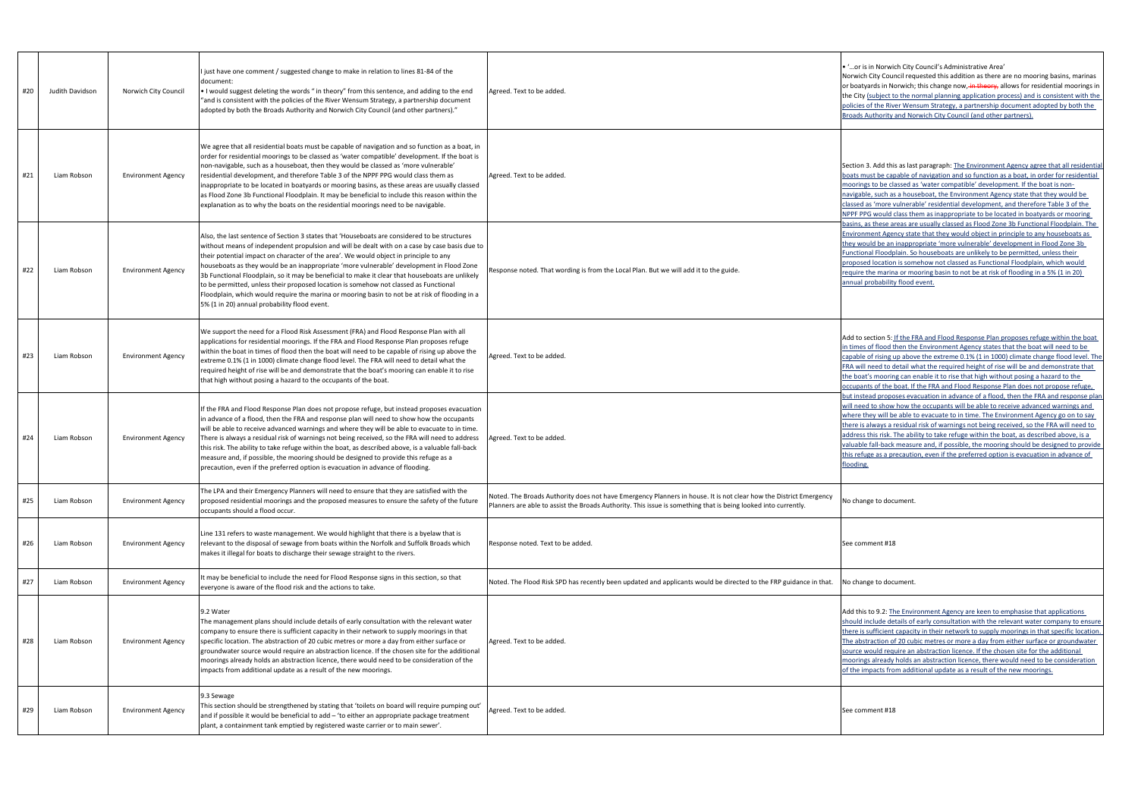| #20 | Judith Davidson | Norwich City Council      | I just have one comment / suggested change to make in relation to lines 81-84 of the<br>document:<br>• I would suggest deleting the words " in theory" from this sentence, and adding to the end<br>"and is consistent with the policies of the River Wensum Strategy, a partnership document<br>adopted by both the Broads Authority and Norwich City Council (and other partners)."                                                                                                                                                                                                                                                                                                                                           | Agreed. Text to be added.                                                                                                                                                                                                           | . 'or is in Norwich City<br>Norwich City Council red<br>or boatyards in Norwich<br>the City (subject to the n<br>policies of the River Wer<br><b>Broads Authority and No</b>                                        |
|-----|-----------------|---------------------------|---------------------------------------------------------------------------------------------------------------------------------------------------------------------------------------------------------------------------------------------------------------------------------------------------------------------------------------------------------------------------------------------------------------------------------------------------------------------------------------------------------------------------------------------------------------------------------------------------------------------------------------------------------------------------------------------------------------------------------|-------------------------------------------------------------------------------------------------------------------------------------------------------------------------------------------------------------------------------------|---------------------------------------------------------------------------------------------------------------------------------------------------------------------------------------------------------------------|
| #21 | Liam Robson     | <b>Environment Agency</b> | We agree that all residential boats must be capable of navigation and so function as a boat, in<br>order for residential moorings to be classed as 'water compatible' development. If the boat is<br>non-navigable, such as a houseboat, then they would be classed as 'more vulnerable'<br>residential development, and therefore Table 3 of the NPPF PPG would class them as<br>inappropriate to be located in boatyards or mooring basins, as these areas are usually classed<br>as Flood Zone 3b Functional Floodplain. It may be beneficial to include this reason within the<br>explanation as to why the boats on the residential moorings need to be navigable.                                                         | Agreed. Text to be added.                                                                                                                                                                                                           | Section 3. Add this as las<br>boats must be capable o<br>moorings to be classed a<br>navigable, such as a hou<br>classed as 'more vulnera<br>NPPF PPG would class th                                                |
| #22 | Liam Robson     | <b>Environment Agency</b> | Also, the last sentence of Section 3 states that 'Houseboats are considered to be structures<br>without means of independent propulsion and will be dealt with on a case by case basis due to<br>their potential impact on character of the area'. We would object in principle to any<br>houseboats as they would be an inappropriate 'more vulnerable' development in Flood Zone<br>3b Functional Floodplain, so it may be beneficial to make it clear that houseboats are unlikely<br>to be permitted, unless their proposed location is somehow not classed as Functional<br>Floodplain, which would require the marina or mooring basin to not be at risk of flooding in a<br>5% (1 in 20) annual probability flood event. | Response noted. That wording is from the Local Plan. But we will add it to the guide.                                                                                                                                               | basins, as these areas ar<br><b>Environment Agency sta</b><br>they would be an inappr<br>Functional Floodplain. S<br>proposed location is son<br>require the marina or me<br>annual probability flood               |
| #23 | Liam Robson     | <b>Environment Agency</b> | We support the need for a Flood Risk Assessment (FRA) and Flood Response Plan with all<br>applications for residential moorings. If the FRA and Flood Response Plan proposes refuge<br>within the boat in times of flood then the boat will need to be capable of rising up above the<br>extreme 0.1% (1 in 1000) climate change flood level. The FRA will need to detail what the<br>required height of rise will be and demonstrate that the boat's mooring can enable it to rise<br>that high without posing a hazard to the occupants of the boat.                                                                                                                                                                          | Agreed. Text to be added.                                                                                                                                                                                                           | Add to section 5: If the F<br>in times of flood then th<br>capable of rising up abo<br>FRA will need to detail w<br>the boat's mooring can o<br>occupants of the boat. If                                           |
| #24 | Liam Robson     | <b>Environment Agency</b> | If the FRA and Flood Response Plan does not propose refuge, but instead proposes evacuation<br>in advance of a flood, then the FRA and response plan will need to show how the occupants<br>will be able to receive advanced warnings and where they will be able to evacuate to in time.<br>There is always a residual risk of warnings not being received, so the FRA will need to address<br>this risk. The ability to take refuge within the boat, as described above, is a valuable fall-back<br>measure and, if possible, the mooring should be designed to provide this refuge as a<br>precaution, even if the preferred option is evacuation in advance of flooding.                                                    | Agreed. Text to be added.                                                                                                                                                                                                           | but instead proposes eva<br>will need to show how tl<br>where they will be able t<br>there is always a residua<br>address this risk. The abi<br>valuable fall-back measu<br>this refuge as a precautio<br>flooding. |
| #25 | Liam Robson     | <b>Environment Agency</b> | The LPA and their Emergency Planners will need to ensure that they are satisfied with the<br>proposed residential moorings and the proposed measures to ensure the safety of the future<br>occupants should a flood occur.                                                                                                                                                                                                                                                                                                                                                                                                                                                                                                      | Noted. The Broads Authority does not have Emergency Planners in house. It is not clear how the District Emergency<br>Planners are able to assist the Broads Authority. This issue is something that is being looked into currently. | No change to document                                                                                                                                                                                               |
| #26 | Liam Robson     | <b>Environment Agency</b> | Line 131 refers to waste management. We would highlight that there is a byelaw that is<br>relevant to the disposal of sewage from boats within the Norfolk and Suffolk Broads which<br>makes it illegal for boats to discharge their sewage straight to the rivers.                                                                                                                                                                                                                                                                                                                                                                                                                                                             | Response noted. Text to be added.                                                                                                                                                                                                   | See comment #18                                                                                                                                                                                                     |
| #27 | Liam Robson     | <b>Environment Agency</b> | It may be beneficial to include the need for Flood Response signs in this section, so that<br>everyone is aware of the flood risk and the actions to take.                                                                                                                                                                                                                                                                                                                                                                                                                                                                                                                                                                      | Noted. The Flood Risk SPD has recently been updated and applicants would be directed to the FRP guidance in that.                                                                                                                   | No change to document                                                                                                                                                                                               |
| #28 | Liam Robson     | <b>Environment Agency</b> | 9.2 Water<br>The management plans should include details of early consultation with the relevant water<br>company to ensure there is sufficient capacity in their network to supply moorings in that<br>specific location. The abstraction of 20 cubic metres or more a day from either surface or<br>groundwater source would require an abstraction licence. If the chosen site for the additional<br>moorings already holds an abstraction licence, there would need to be consideration of the<br>impacts from additional update as a result of the new moorings.                                                                                                                                                           | Agreed. Text to be added.                                                                                                                                                                                                           | Add this to 9.2: <u>The Envi</u><br>should include details of<br>there is sufficient capaci<br>The abstraction of 20 cu<br>source would require an<br>moorings already holds<br>of the impacts from add             |
| #29 | Liam Robson     | <b>Environment Agency</b> | 9.3 Sewage<br>This section should be strengthened by stating that 'toilets on board will require pumping out'<br>and if possible it would be beneficial to add - 'to either an appropriate package treatment<br>plant, a containment tank emptied by registered waste carrier or to main sewer'.                                                                                                                                                                                                                                                                                                                                                                                                                                | Agreed. Text to be added.                                                                                                                                                                                                           | See comment #18                                                                                                                                                                                                     |

## · is in Norwich City Council's Administrative Area'

vich City Council requested this addition as there are no mooring basins, marinas atyards in Norwich; this change now, in theory, allows for residential moorings in ity (subject to the normal planning application process) and is consistent with the ies of the River Wensum Strategy, a partnership document adopted by both the ds Authority and Norwich City Council (and other partners).

ion 3. Add this as last paragraph: The Environment Agency agree that all residentia s must be capable of navigation and so function as a boat, in order for residential rings to be classed as 'water compatible' development. If the boat is nonable, such as a houseboat, the Environment Agency state that they would be ed as 'more vulnerable' residential development, and therefore Table 3 of the PPG would class them as inappropriate to be located in boatyards or mooring s, as these areas are usually classed as Flood Zone 3b Functional Floodplain. The onment Agency state that they would object in principle to any houseboats as would be an inappropriate 'more vulnerable' development in Flood Zone 3b tional Floodplain. So houseboats are unlikely to be permitted, unless their proposed location is somehow not classed as Functional Floodplain, which would ire the marina or mooring basin to not be at risk of flooding in a 5% (1 in 20) al probability flood event.

to section 5: If the FRA and Flood Response Plan proposes refuge within the boat ies of flood then the Environment Agency states that the boat will need to be ble of rising up above the extreme 0.1% (1 in 1000) climate change flood level. The vill need to detail what the required height of rise will be and demonstrate that oat's mooring can enable it to rise that high without posing a hazard to the ants of the boat. If the FRA and Flood Response Plan does not propose refuge, istead proposes evacuation in advance of a flood, then the FRA and response plan eed to show how the occupants will be able to receive advanced warnings and e they will be able to evacuate to in time. The Environment Agency go on to say is always a residual risk of warnings not being received, so the FRA will need to ess this risk. The ability to take refuge within the boat, as described above, is a ble fall-back measure and, if possible, the mooring should be designed to provide efuge as a precaution, even if the preferred option is evacuation in advance of ing.

this to 9.2: The Environment Agency are keen to emphasise that applications Id include details of early consultation with the relevant water company to ensure is sufficient capacity in their network to supply moorings in that specific location. abstraction of 20 cubic metres or more a day from either surface or groundwater so would require an abstraction licence. If the chosen site for the additional ings already holds an abstraction licence, there would need to be consideration impacts from additional update as a result of the new moorings.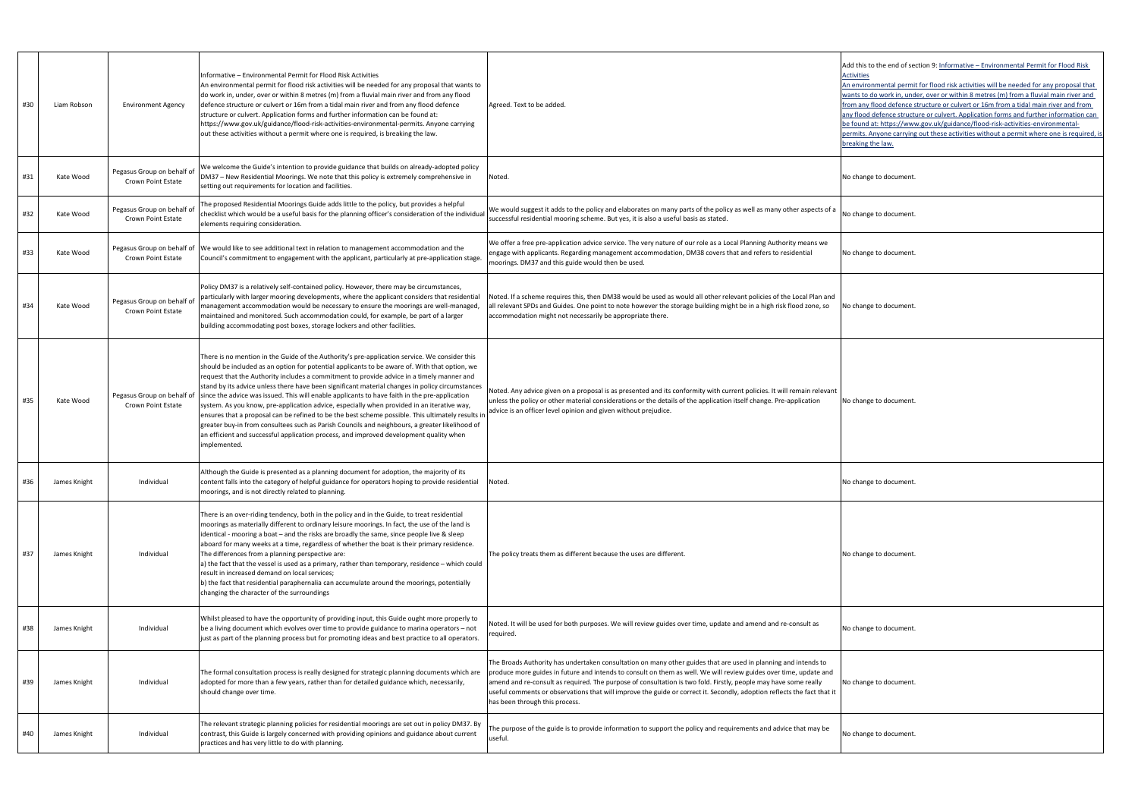| #30 | Liam Robson         | <b>Environment Agency</b>                        | Informative - Environmental Permit for Flood Risk Activities<br>An environmental permit for flood risk activities will be needed for any proposal that wants to<br>do work in, under, over or within 8 metres (m) from a fluvial main river and from any flood<br>defence structure or culvert or 16m from a tidal main river and from any flood defence<br>structure or culvert. Application forms and further information can be found at:<br>https://www.gov.uk/guidance/flood-risk-activities-environmental-permits. Anyone carrying<br>out these activities without a permit where one is required, is breaking the law.                                                                                                                                                                                                                                                                                  | Agreed. Text to be added.                                                                                                                                                                                                                                                                                                                                                                                                                                                                                           | Add this to the end of se<br><b>Activities</b><br>An environmental permi<br>wants to do work in, und<br>from any flood defence:<br>any flood defence struct<br>be found at: https://ww<br>permits. Anyone carrying<br>breaking the law. |
|-----|---------------------|--------------------------------------------------|----------------------------------------------------------------------------------------------------------------------------------------------------------------------------------------------------------------------------------------------------------------------------------------------------------------------------------------------------------------------------------------------------------------------------------------------------------------------------------------------------------------------------------------------------------------------------------------------------------------------------------------------------------------------------------------------------------------------------------------------------------------------------------------------------------------------------------------------------------------------------------------------------------------|---------------------------------------------------------------------------------------------------------------------------------------------------------------------------------------------------------------------------------------------------------------------------------------------------------------------------------------------------------------------------------------------------------------------------------------------------------------------------------------------------------------------|-----------------------------------------------------------------------------------------------------------------------------------------------------------------------------------------------------------------------------------------|
| #31 | Kate Wood           | Pegasus Group on behalf of<br>Crown Point Estate | We welcome the Guide's intention to provide guidance that builds on already-adopted policy<br>DM37 - New Residential Moorings. We note that this policy is extremely comprehensive in<br>setting out requirements for location and facilities.                                                                                                                                                                                                                                                                                                                                                                                                                                                                                                                                                                                                                                                                 | Noted.                                                                                                                                                                                                                                                                                                                                                                                                                                                                                                              | No change to document                                                                                                                                                                                                                   |
|     | #32<br>Kate Wood    | Pegasus Group on behalf of<br>Crown Point Estate | The proposed Residential Moorings Guide adds little to the policy, but provides a helpful<br>checklist which would be a useful basis for the planning officer's consideration of the individual<br>elements requiring consideration.                                                                                                                                                                                                                                                                                                                                                                                                                                                                                                                                                                                                                                                                           | We would suggest it adds to the policy and elaborates on many parts of the policy as well as many other aspects of a<br>successful residential mooring scheme. But yes, it is also a useful basis as stated.                                                                                                                                                                                                                                                                                                        | No change to document                                                                                                                                                                                                                   |
| #33 | Kate Wood           | Crown Point Estate                               | Pegasus Group on behalf of We would like to see additional text in relation to management accommodation and the<br>Council's commitment to engagement with the applicant, particularly at pre-application stage.                                                                                                                                                                                                                                                                                                                                                                                                                                                                                                                                                                                                                                                                                               | We offer a free pre-application advice service. The very nature of our role as a Local Planning Authority means we<br>engage with applicants. Regarding management accommodation, DM38 covers that and refers to residential<br>moorings. DM37 and this guide would then be used.                                                                                                                                                                                                                                   | No change to document                                                                                                                                                                                                                   |
| #34 | Kate Wood           | Pegasus Group on behalf of<br>Crown Point Estate | Policy DM37 is a relatively self-contained policy. However, there may be circumstances,<br>particularly with larger mooring developments, where the applicant considers that residential<br>management accommodation would be necessary to ensure the moorings are well-managed,<br>maintained and monitored. Such accommodation could, for example, be part of a larger<br>building accommodating post boxes, storage lockers and other facilities.                                                                                                                                                                                                                                                                                                                                                                                                                                                           | Noted. If a scheme requires this, then DM38 would be used as would all other relevant policies of the Local Plan and<br>all relevant SPDs and Guides. One point to note however the storage building might be in a high risk flood zone, so<br>accommodation might not necessarily be appropriate there.                                                                                                                                                                                                            | No change to document.                                                                                                                                                                                                                  |
| #35 | Kate Wood           | Pegasus Group on behalf of<br>Crown Point Estate | There is no mention in the Guide of the Authority's pre-application service. We consider this<br>should be included as an option for potential applicants to be aware of. With that option, we<br>request that the Authority includes a commitment to provide advice in a timely manner and<br>stand by its advice unless there have been significant material changes in policy circumstances<br>since the advice was issued. This will enable applicants to have faith in the pre-application<br>system. As you know, pre-application advice, especially when provided in an iterative way,<br>ensures that a proposal can be refined to be the best scheme possible. This ultimately results in<br>greater buy-in from consultees such as Parish Councils and neighbours, a greater likelihood of<br>an efficient and successful application process, and improved development quality when<br>implemented. | Noted. Any advice given on a proposal is as presented and its conformity with current policies. It will remain relevant<br>unless the policy or other material considerations or the details of the application itself change. Pre-application<br>dvice is an officer level opinion and given without prejudice.                                                                                                                                                                                                    | No change to document.                                                                                                                                                                                                                  |
| #36 | James Knight        | Individual                                       | Although the Guide is presented as a planning document for adoption, the majority of its<br>content falls into the category of helpful guidance for operators hoping to provide residential<br>moorings, and is not directly related to planning.                                                                                                                                                                                                                                                                                                                                                                                                                                                                                                                                                                                                                                                              | Noted.                                                                                                                                                                                                                                                                                                                                                                                                                                                                                                              | No change to document                                                                                                                                                                                                                   |
| #37 | James Knight        | Individual                                       | There is an over-riding tendency, both in the policy and in the Guide, to treat residential<br>moorings as materially different to ordinary leisure moorings. In fact, the use of the land is<br>identical - mooring a boat - and the risks are broadly the same, since people live & sleep<br>aboard for many weeks at a time, regardless of whether the boat is their primary residence.<br>The differences from a planning perspective are:<br>a) the fact that the vessel is used as a primary, rather than temporary, residence – which could<br>result in increased demand on local services;<br>b) the fact that residential paraphernalia can accumulate around the moorings, potentially<br>changing the character of the surroundings                                                                                                                                                                | The policy treats them as different because the uses are different.                                                                                                                                                                                                                                                                                                                                                                                                                                                 | No change to document                                                                                                                                                                                                                   |
|     | #38<br>James Knight | Individual                                       | Whilst pleased to have the opportunity of providing input, this Guide ought more properly to<br>be a living document which evolves over time to provide guidance to marina operators - not<br>just as part of the planning process but for promoting ideas and best practice to all operators.                                                                                                                                                                                                                                                                                                                                                                                                                                                                                                                                                                                                                 | Voted. It will be used for both purposes. We will review guides over time, update and amend and re-consult as<br>equired.                                                                                                                                                                                                                                                                                                                                                                                           | No change to document                                                                                                                                                                                                                   |
| #39 | James Knight        | Individual                                       | The formal consultation process is really designed for strategic planning documents which are<br>adopted for more than a few years, rather than for detailed guidance which, necessarily,<br>should change over time.                                                                                                                                                                                                                                                                                                                                                                                                                                                                                                                                                                                                                                                                                          | The Broads Authority has undertaken consultation on many other guides that are used in planning and intends to<br>produce more guides in future and intends to consult on them as well. We will review guides over time, update and<br>amend and re-consult as required. The purpose of consultation is two fold. Firstly, people may have some really<br>useful comments or observations that will improve the guide or correct it. Secondly, adoption reflects the fact that it<br>has been through this process. | No change to document.                                                                                                                                                                                                                  |
| #40 | James Knight        | Individual                                       | The relevant strategic planning policies for residential moorings are set out in policy DM37. By<br>contrast, this Guide is largely concerned with providing opinions and guidance about current<br>practices and has very little to do with planning.                                                                                                                                                                                                                                                                                                                                                                                                                                                                                                                                                                                                                                                         | The purpose of the guide is to provide information to support the policy and requirements and advice that may be<br>useful.                                                                                                                                                                                                                                                                                                                                                                                         | No change to document                                                                                                                                                                                                                   |

his to the end of section 9: Informative – Environmental Permit for Flood Risk ties

vironmental permit for flood risk activities will be needed for any proposal that s to do work in, under, over or within 8 metres (m) from a fluvial main river and any flood defence structure or culvert or 16m from a tidal main river and from ood defence structure or culvert. Application forms and further information can und at: https://www.gov.uk/guidance/flood-risk-activities-environmentalits. Anyone carrying out these activities without a permit where one is required, is ing the law.

ange to document.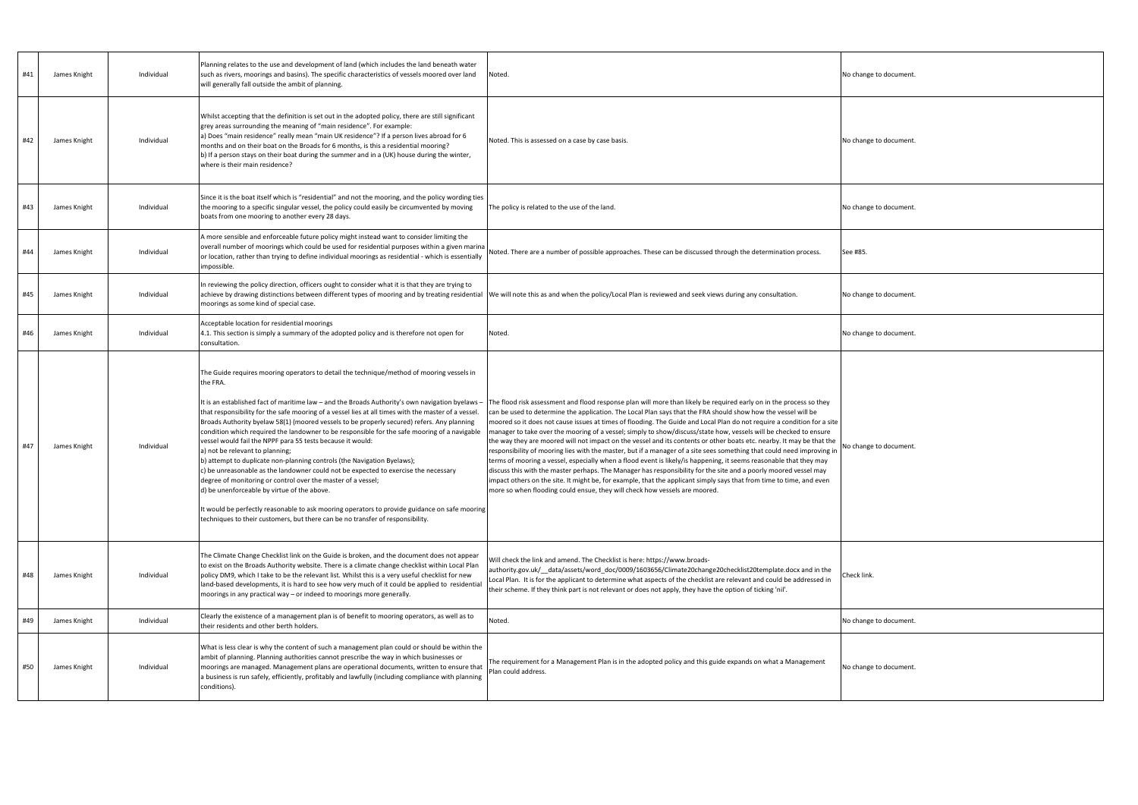| #41 | James Knight | Individual | Planning relates to the use and development of land (which includes the land beneath water<br>such as rivers, moorings and basins). The specific characteristics of vessels moored over land<br>will generally fall outside the ambit of planning.                                                                                                                                                                                                                                                                                                                                                                                                                                                                                                                                                                                                                                                                                                                                                                                                                                 | Noted.                                                                                                                                                                                                                                                                                                                                                                                                                                                                                                                                                                                                                                                                                                                                                                                                                                                                                                                                                                                                                                                                                                                                                                                  | No change to document |
|-----|--------------|------------|------------------------------------------------------------------------------------------------------------------------------------------------------------------------------------------------------------------------------------------------------------------------------------------------------------------------------------------------------------------------------------------------------------------------------------------------------------------------------------------------------------------------------------------------------------------------------------------------------------------------------------------------------------------------------------------------------------------------------------------------------------------------------------------------------------------------------------------------------------------------------------------------------------------------------------------------------------------------------------------------------------------------------------------------------------------------------------|-----------------------------------------------------------------------------------------------------------------------------------------------------------------------------------------------------------------------------------------------------------------------------------------------------------------------------------------------------------------------------------------------------------------------------------------------------------------------------------------------------------------------------------------------------------------------------------------------------------------------------------------------------------------------------------------------------------------------------------------------------------------------------------------------------------------------------------------------------------------------------------------------------------------------------------------------------------------------------------------------------------------------------------------------------------------------------------------------------------------------------------------------------------------------------------------|-----------------------|
| #42 | James Knight | Individual | Whilst accepting that the definition is set out in the adopted policy, there are still significant<br>grey areas surrounding the meaning of "main residence". For example:<br>a) Does "main residence" really mean "main UK residence"? If a person lives abroad for 6<br>months and on their boat on the Broads for 6 months, is this a residential mooring?<br>b) If a person stays on their boat during the summer and in a (UK) house during the winter,<br>where is their main residence?                                                                                                                                                                                                                                                                                                                                                                                                                                                                                                                                                                                     | Noted. This is assessed on a case by case basis.                                                                                                                                                                                                                                                                                                                                                                                                                                                                                                                                                                                                                                                                                                                                                                                                                                                                                                                                                                                                                                                                                                                                        | No change to document |
| #43 | James Knight | Individual | Since it is the boat itself which is "residential" and not the mooring, and the policy wording ties<br>the mooring to a specific singular vessel, the policy could easily be circumvented by moving<br>boats from one mooring to another every 28 days.                                                                                                                                                                                                                                                                                                                                                                                                                                                                                                                                                                                                                                                                                                                                                                                                                            | The policy is related to the use of the land.                                                                                                                                                                                                                                                                                                                                                                                                                                                                                                                                                                                                                                                                                                                                                                                                                                                                                                                                                                                                                                                                                                                                           | No change to document |
| #44 | James Knight | Individual | A more sensible and enforceable future policy might instead want to consider limiting the<br>overall number of moorings which could be used for residential purposes within a given marina<br>or location, rather than trying to define individual moorings as residential - which is essentially<br>impossible.                                                                                                                                                                                                                                                                                                                                                                                                                                                                                                                                                                                                                                                                                                                                                                   | Noted. There are a number of possible approaches. These can be discussed through the determination process.                                                                                                                                                                                                                                                                                                                                                                                                                                                                                                                                                                                                                                                                                                                                                                                                                                                                                                                                                                                                                                                                             | See #85.              |
| #45 | James Knight | Individual | In reviewing the policy direction, officers ought to consider what it is that they are trying to<br>moorings as some kind of special case.                                                                                                                                                                                                                                                                                                                                                                                                                                                                                                                                                                                                                                                                                                                                                                                                                                                                                                                                         | achieve by drawing distinctions between different types of mooring and by treating residential  We will note this as and when the policy/Local Plan is reviewed and seek views during any consultation.                                                                                                                                                                                                                                                                                                                                                                                                                                                                                                                                                                                                                                                                                                                                                                                                                                                                                                                                                                                 | No change to document |
| #46 | James Knight | Individual | Acceptable location for residential moorings<br>4.1. This section is simply a summary of the adopted policy and is therefore not open for<br>consultation.                                                                                                                                                                                                                                                                                                                                                                                                                                                                                                                                                                                                                                                                                                                                                                                                                                                                                                                         | Noted.                                                                                                                                                                                                                                                                                                                                                                                                                                                                                                                                                                                                                                                                                                                                                                                                                                                                                                                                                                                                                                                                                                                                                                                  | No change to document |
| #47 | James Knight | Individual | The Guide requires mooring operators to detail the technique/method of mooring vessels in<br>the FRA.<br>It is an established fact of maritime law – and the Broads Authority's own navigation byelaws –<br>that responsibility for the safe mooring of a vessel lies at all times with the master of a vessel.<br>Broads Authority byelaw 58(1) (moored vessels to be properly secured) refers. Any planning<br>condition which required the landowner to be responsible for the safe mooring of a navigable<br>vessel would fail the NPPF para 55 tests because it would:<br>a) not be relevant to planning;<br>b) attempt to duplicate non-planning controls (the Navigation Byelaws);<br>c) be unreasonable as the landowner could not be expected to exercise the necessary<br>degree of monitoring or control over the master of a vessel;<br>d) be unenforceable by virtue of the above.<br>It would be perfectly reasonable to ask mooring operators to provide guidance on safe mooring<br>techniques to their customers, but there can be no transfer of responsibility. | The flood risk assessment and flood response plan will more than likely be required early on in the process so they<br>can be used to determine the application. The Local Plan says that the FRA should show how the vessel will be<br>moored so it does not cause issues at times of flooding. The Guide and Local Plan do not require a condition for a site<br>manager to take over the mooring of a vessel; simply to show/discuss/state how, vessels will be checked to ensure<br>the way they are moored will not impact on the vessel and its contents or other boats etc. nearby. It may be that the<br>responsibility of mooring lies with the master, but if a manager of a site sees something that could need improving in<br>terms of mooring a vessel, especially when a flood event is likely/is happening, it seems reasonable that they may<br>discuss this with the master perhaps. The Manager has responsibility for the site and a poorly moored vessel may<br>impact others on the site. It might be, for example, that the applicant simply says that from time to time, and even<br>more so when flooding could ensue, they will check how vessels are moored. | No change to document |
| #48 | James Knight | Individual | The Climate Change Checklist link on the Guide is broken, and the document does not appear<br>to exist on the Broads Authority website. There is a climate change checklist within Local Plan<br>policy DM9, which I take to be the relevant list. Whilst this is a very useful checklist for new<br>land-based developments, it is hard to see how very much of it could be applied to residential<br>moorings in any practical way - or indeed to moorings more generally.                                                                                                                                                                                                                                                                                                                                                                                                                                                                                                                                                                                                       | Will check the link and amend. The Checklist is here: https://www.broads-<br>authority.gov.uk/_data/assets/word_doc/0009/1603656/Climate20change20checklist20template.docx and in the<br>Local Plan. It is for the applicant to determine what aspects of the checklist are relevant and could be addressed in<br>their scheme. If they think part is not relevant or does not apply, they have the option of ticking 'nil'.                                                                                                                                                                                                                                                                                                                                                                                                                                                                                                                                                                                                                                                                                                                                                            | Check link.           |
| #49 | James Knight | Individual | Clearly the existence of a management plan is of benefit to mooring operators, as well as to<br>their residents and other berth holders.                                                                                                                                                                                                                                                                                                                                                                                                                                                                                                                                                                                                                                                                                                                                                                                                                                                                                                                                           | Noted.                                                                                                                                                                                                                                                                                                                                                                                                                                                                                                                                                                                                                                                                                                                                                                                                                                                                                                                                                                                                                                                                                                                                                                                  | No change to document |
| #50 | James Knight | Individual | What is less clear is why the content of such a management plan could or should be within the<br>ambit of planning. Planning authorities cannot prescribe the way in which businesses or<br>moorings are managed. Management plans are operational documents, written to ensure that<br>a business is run safely, efficiently, profitably and lawfully (including compliance with planning<br>conditions).                                                                                                                                                                                                                                                                                                                                                                                                                                                                                                                                                                                                                                                                         | The requirement for a Management Plan is in the adopted policy and this guide expands on what a Management<br>Plan could address.                                                                                                                                                                                                                                                                                                                                                                                                                                                                                                                                                                                                                                                                                                                                                                                                                                                                                                                                                                                                                                                       | No change to document |

ange to document. ange to document. ange to document. ange to document. ange to document. ange to document.  $\mathsf{link}.$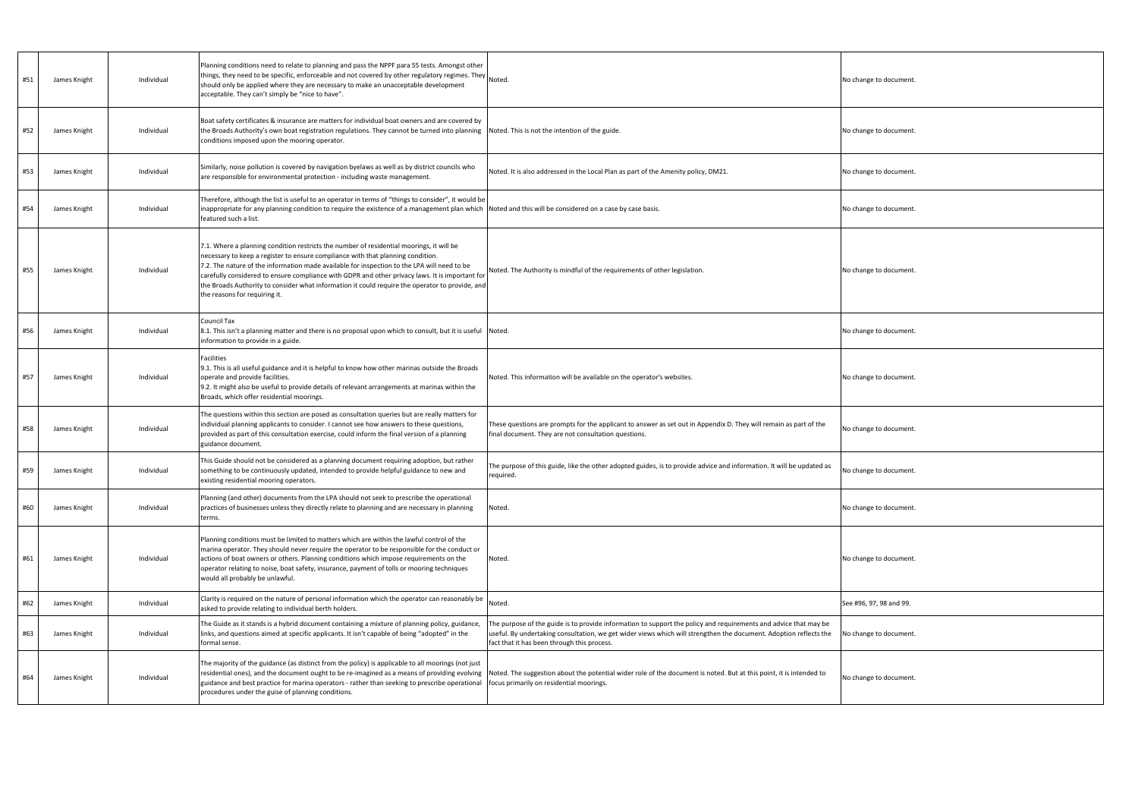| #51 | James Knight | Individual | Planning conditions need to relate to planning and pass the NPPF para 55 tests. Amongst other<br>things, they need to be specific, enforceable and not covered by other regulatory regimes. They<br>should only be applied where they are necessary to make an unacceptable development<br>acceptable. They can't simply be "nice to have".                                                                                                                                                                       | Noted.                                                                                                                                                                                                                                                                               | No change to document   |
|-----|--------------|------------|-------------------------------------------------------------------------------------------------------------------------------------------------------------------------------------------------------------------------------------------------------------------------------------------------------------------------------------------------------------------------------------------------------------------------------------------------------------------------------------------------------------------|--------------------------------------------------------------------------------------------------------------------------------------------------------------------------------------------------------------------------------------------------------------------------------------|-------------------------|
| #52 | James Knight | Individual | Boat safety certificates & insurance are matters for individual boat owners and are covered by<br>the Broads Authority's own boat registration regulations. They cannot be turned into planning Noted. This is not the intention of the guide.<br>conditions imposed upon the mooring operator.                                                                                                                                                                                                                   |                                                                                                                                                                                                                                                                                      | No change to document.  |
| #53 | James Knight | Individual | Similarly, noise pollution is covered by navigation byelaws as well as by district councils who<br>are responsible for environmental protection - including waste management.                                                                                                                                                                                                                                                                                                                                     | Noted. It is also addressed in the Local Plan as part of the Amenity policy, DM21.                                                                                                                                                                                                   | No change to document.  |
| #54 | James Knight | Individual | Therefore, although the list is useful to an operator in terms of "things to consider", it would be<br>inappropriate for any planning condition to require the existence of a management plan which Noted and this will be considered on a case by case basis.<br>featured such a list.                                                                                                                                                                                                                           |                                                                                                                                                                                                                                                                                      | No change to document   |
| #55 | James Knight | Individual | 7.1. Where a planning condition restricts the number of residential moorings, it will be<br>necessary to keep a register to ensure compliance with that planning condition.<br>7.2. The nature of the information made available for inspection to the LPA will need to be<br>carefully considered to ensure compliance with GDPR and other privacy laws. It is important for<br>the Broads Authority to consider what information it could require the operator to provide, and<br>the reasons for requiring it. | Noted. The Authority is mindful of the requirements of other legislation.                                                                                                                                                                                                            | No change to document   |
| #56 | James Knight | Individual | <b>Council Tax</b><br>8.1. This isn't a planning matter and there is no proposal upon which to consult, but it is useful Noted.<br>information to provide in a guide.                                                                                                                                                                                                                                                                                                                                             |                                                                                                                                                                                                                                                                                      | No change to document   |
| #57 | James Knight | Individual | <b>Facilities</b><br>9.1. This is all useful guidance and it is helpful to know how other marinas outside the Broads<br>operate and provide facilities.<br>9.2. It might also be useful to provide details of relevant arrangements at marinas within the<br>Broads, which offer residential moorings.                                                                                                                                                                                                            | Noted. This information will be available on the operator's websites.                                                                                                                                                                                                                | No change to document   |
| #58 | James Knight | Individual | The questions within this section are posed as consultation queries but are really matters for<br>individual planning applicants to consider. I cannot see how answers to these questions,<br>provided as part of this consultation exercise, could inform the final version of a planning<br>guidance document.                                                                                                                                                                                                  | These questions are prompts for the applicant to answer as set out in Appendix D. They will remain as part of the<br>final document. They are not consultation questions.                                                                                                            | No change to document   |
| #59 | James Knight | Individual | This Guide should not be considered as a planning document requiring adoption, but rather<br>something to be continuously updated, intended to provide helpful guidance to new and<br>existing residential mooring operators.                                                                                                                                                                                                                                                                                     | The purpose of this guide, like the other adopted guides, is to provide advice and information. It will be updated as<br>required.                                                                                                                                                   | No change to document   |
| #60 | James Knight | Individual | Planning (and other) documents from the LPA should not seek to prescribe the operational<br>practices of businesses unless they directly relate to planning and are necessary in planning<br>terms.                                                                                                                                                                                                                                                                                                               | Noted.                                                                                                                                                                                                                                                                               | No change to document.  |
| #61 | James Knight | Individual | Planning conditions must be limited to matters which are within the lawful control of the<br>marina operator. They should never require the operator to be responsible for the conduct or<br>actions of boat owners or others. Planning conditions which impose requirements on the<br>operator relating to noise, boat safety, insurance, payment of tolls or mooring techniques<br>would all probably be unlawful.                                                                                              | Noted.                                                                                                                                                                                                                                                                               | No change to document   |
| #62 | James Knight | Individual | Clarity is required on the nature of personal information which the operator can reasonably be<br>asked to provide relating to individual berth holders.                                                                                                                                                                                                                                                                                                                                                          | Noted.                                                                                                                                                                                                                                                                               | See #96, 97, 98 and 99. |
| #63 | James Knight | Individual | The Guide as it stands is a hybrid document containing a mixture of planning policy, guidance,<br>links, and questions aimed at specific applicants. It isn't capable of being "adopted" in the<br>formal sense.                                                                                                                                                                                                                                                                                                  | The purpose of the guide is to provide information to support the policy and requirements and advice that may be<br>useful. By undertaking consultation, we get wider views which will strengthen the document. Adoption reflects the<br>fact that it has been through this process. | No change to document   |
| #64 | James Knight | Individual | The majority of the guidance (as distinct from the policy) is applicable to all moorings (not just<br>residential ones), and the document ought to be re-imagined as a means of providing evolving<br>guidance and best practice for marina operators - rather than seeking to prescribe operational<br>procedures under the guise of planning conditions.                                                                                                                                                        | Noted. The suggestion about the potential wider role of the document is noted. But at this point, it is intended to<br>focus primarily on residential moorings.                                                                                                                      | No change to document   |

| No change to document.  |  |
|-------------------------|--|
| No change to document.  |  |
| No change to document.  |  |
| No change to document.  |  |
| No change to document.  |  |
| No change to document.  |  |
| No change to document.  |  |
| No change to document.  |  |
| No change to document.  |  |
| No change to document.  |  |
| No change to document.  |  |
| See #96, 97, 98 and 99. |  |
| No change to document.  |  |
| No change to document.  |  |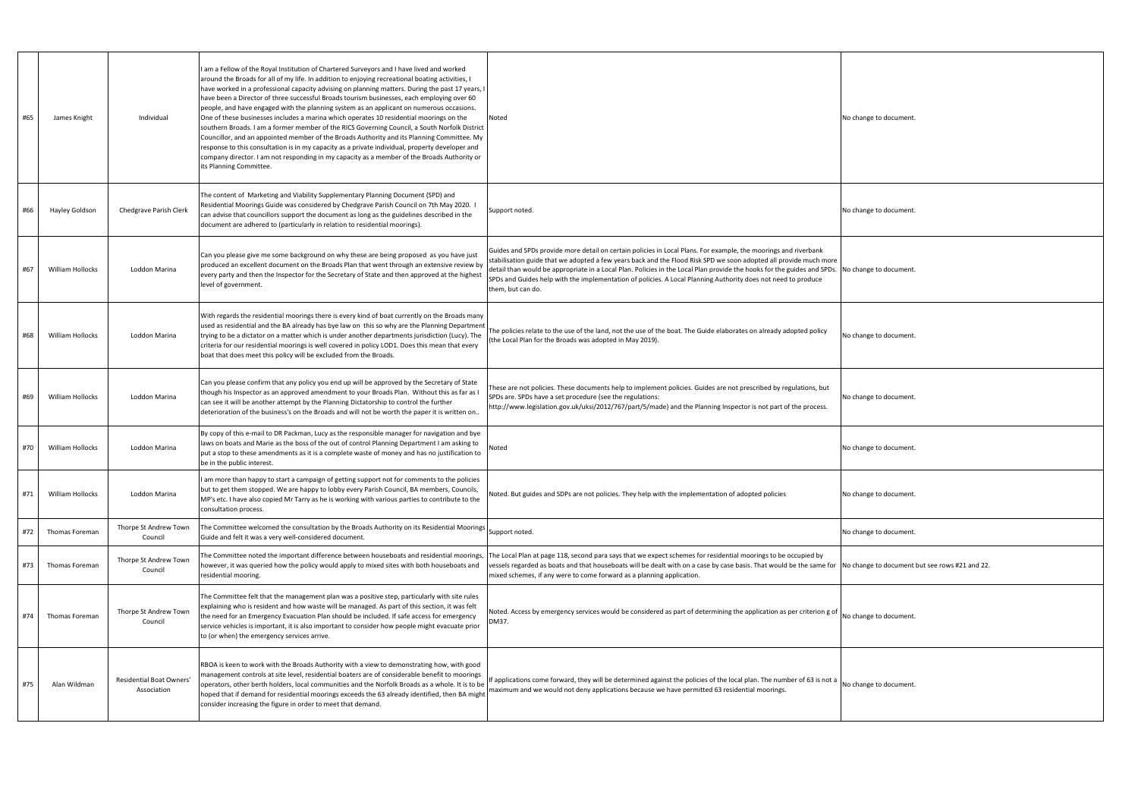| #65 | James Knight            | Individual                              | am a Fellow of the Royal Institution of Chartered Surveyors and I have lived and worked<br>around the Broads for all of my life. In addition to enjoying recreational boating activities, I<br>have worked in a professional capacity advising on planning matters. During the past 17 years, I<br>have been a Director of three successful Broads tourism businesses, each employing over 60<br>people, and have engaged with the planning system as an applicant on numerous occasions.<br>One of these businesses includes a marina which operates 10 residential moorings on the<br>southern Broads. I am a former member of the RICS Governing Council, a South Norfolk District<br>Councillor, and an appointed member of the Broads Authority and its Planning Committee. My<br>response to this consultation is in my capacity as a private individual, property developer and<br>company director. I am not responding in my capacity as a member of the Broads Authority or<br>its Planning Committee. | Noted                                                                                                                                                                                                                                                                                                                                                                                                                                                                                                 | No change to document  |
|-----|-------------------------|-----------------------------------------|------------------------------------------------------------------------------------------------------------------------------------------------------------------------------------------------------------------------------------------------------------------------------------------------------------------------------------------------------------------------------------------------------------------------------------------------------------------------------------------------------------------------------------------------------------------------------------------------------------------------------------------------------------------------------------------------------------------------------------------------------------------------------------------------------------------------------------------------------------------------------------------------------------------------------------------------------------------------------------------------------------------|-------------------------------------------------------------------------------------------------------------------------------------------------------------------------------------------------------------------------------------------------------------------------------------------------------------------------------------------------------------------------------------------------------------------------------------------------------------------------------------------------------|------------------------|
| #66 | Hayley Goldson          | Chedgrave Parish Clerk                  | The content of Marketing and Viability Supplementary Planning Document (SPD) and<br>Residential Moorings Guide was considered by Chedgrave Parish Council on 7th May 2020. I<br>can advise that councillors support the document as long as the guidelines described in the<br>document are adhered to (particularly in relation to residential moorings).                                                                                                                                                                                                                                                                                                                                                                                                                                                                                                                                                                                                                                                       | Support noted.                                                                                                                                                                                                                                                                                                                                                                                                                                                                                        | No change to document  |
| #67 | William Hollocks        | Loddon Marina                           | Can you please give me some background on why these are being proposed as you have just<br>produced an excellent document on the Broads Plan that went through an extensive review by<br>every party and then the Inspector for the Secretary of State and then approved at the highest<br>level of government.                                                                                                                                                                                                                                                                                                                                                                                                                                                                                                                                                                                                                                                                                                  | Guides and SPDs provide more detail on certain policies in Local Plans. For example, the moorings and riverbank<br>stabilisation guide that we adopted a few years back and the Flood Risk SPD we soon adopted all provide much more<br>detail than would be appropriate in a Local Plan. Policies in the Local Plan provide the hooks for the guides and SPDs.<br>SPDs and Guides help with the implementation of policies. A Local Planning Authority does not need to produce<br>them, but can do. | No change to document  |
| #68 | William Hollocks        | Loddon Marina                           | With regards the residential moorings there is every kind of boat currently on the Broads many<br>used as residential and the BA already has bye law on this so why are the Planning Department<br>trying to be a dictator on a matter which is under another departments jurisdiction (Lucy). The<br>criteria for our residential moorings is well covered in policy LOD1. Does this mean that every<br>boat that does meet this policy will be excluded from the Broads.                                                                                                                                                                                                                                                                                                                                                                                                                                                                                                                                       | The policies relate to the use of the land, not the use of the boat. The Guide elaborates on already adopted policy<br>the Local Plan for the Broads was adopted in May 2019).                                                                                                                                                                                                                                                                                                                        | No change to document  |
| #69 | William Hollocks        | Loddon Marina                           | Can you please confirm that any policy you end up will be approved by the Secretary of State<br>though his Inspector as an approved amendment to your Broads Plan. Without this as far as I<br>can see it will be another attempt by the Planning Dictatorship to control the further<br>deterioration of the business's on the Broads and will not be worth the paper it is written on                                                                                                                                                                                                                                                                                                                                                                                                                                                                                                                                                                                                                          | These are not policies. These documents help to implement policies. Guides are not prescribed by regulations, but<br>SPDs are. SPDs have a set procedure (see the regulations:<br>http://www.legislation.gov.uk/uksi/2012/767/part/5/made) and the Planning Inspector is not part of the process.                                                                                                                                                                                                     | No change to document. |
| #70 | <b>William Hollocks</b> | Loddon Marina                           | By copy of this e-mail to DR Packman, Lucy as the responsible manager for navigation and bye<br>laws on boats and Marie as the boss of the out of control Planning Department I am asking to<br>put a stop to these amendments as it is a complete waste of money and has no justification to<br>be in the public interest.                                                                                                                                                                                                                                                                                                                                                                                                                                                                                                                                                                                                                                                                                      | Noted                                                                                                                                                                                                                                                                                                                                                                                                                                                                                                 | No change to document  |
| #71 | <b>William Hollocks</b> | Loddon Marina                           | am more than happy to start a campaign of getting support not for comments to the policies<br>but to get them stopped. We are happy to lobby every Parish Council, BA members, Councils,<br>MP's etc. I have also copied Mr Tarry as he is working with various parties to contribute to the<br>consultation process.                                                                                                                                                                                                                                                                                                                                                                                                                                                                                                                                                                                                                                                                                            | Noted. But guides and SDPs are not policies. They help with the implementation of adopted policies                                                                                                                                                                                                                                                                                                                                                                                                    | No change to document  |
| #72 | Thomas Foreman          | Thorpe St Andrew Town<br>Council        | The Committee welcomed the consultation by the Broads Authority on its Residential Moorings<br>Guide and felt it was a very well-considered document.                                                                                                                                                                                                                                                                                                                                                                                                                                                                                                                                                                                                                                                                                                                                                                                                                                                            | Support noted.                                                                                                                                                                                                                                                                                                                                                                                                                                                                                        | No change to document  |
| #73 | <b>Thomas Foreman</b>   | Thorpe St Andrew Town<br>Council        | The Committee noted the important difference between houseboats and residential moorings,<br>however, it was queried how the policy would apply to mixed sites with both houseboats and<br>residential mooring.                                                                                                                                                                                                                                                                                                                                                                                                                                                                                                                                                                                                                                                                                                                                                                                                  | The Local Plan at page 118, second para says that we expect schemes for residential moorings to be occupied by<br>vessels regarded as boats and that houseboats will be dealt with on a case by case basis. That would be the same for No change to document<br>mixed schemes, if any were to come forward as a planning application.                                                                                                                                                                 |                        |
| #74 | Thomas Foreman          | Thorpe St Andrew Town<br>Council        | The Committee felt that the management plan was a positive step, particularly with site rules<br>explaining who is resident and how waste will be managed. As part of this section, it was felt<br>the need for an Emergency Evacuation Plan should be included. If safe access for emergency<br>service vehicles is important, it is also important to consider how people might evacuate prior<br>to (or when) the emergency services arrive.                                                                                                                                                                                                                                                                                                                                                                                                                                                                                                                                                                  | Noted. Access by emergency services would be considered as part of determining the application as per criterion g of<br>DM37.                                                                                                                                                                                                                                                                                                                                                                         | No change to document. |
| #75 | Alan Wildman            | Residential Boat Owners'<br>Association | RBOA is keen to work with the Broads Authority with a view to demonstrating how, with good<br>management controls at site level, residential boaters are of considerable benefit to moorings<br>operators, other berth holders, local communities and the Norfolk Broads as a whole. It is to be<br>hoped that if demand for residential moorings exceeds the 63 already identified, then BA might<br>consider increasing the figure in order to meet that demand.                                                                                                                                                                                                                                                                                                                                                                                                                                                                                                                                               | f applications come forward, they will be determined against the policies of the local plan. The number of 63 is not a<br>maximum and we would not deny applications because we have permitted 63 residential moorings.                                                                                                                                                                                                                                                                               | No change to document  |

| No change to document.                         |
|------------------------------------------------|
| No change to document.                         |
| No change to document.                         |
| No change to document.                         |
| No change to document.                         |
| No change to document.                         |
| No change to document.                         |
| No change to document.                         |
| No change to document but see rows #21 and 22. |
| No change to document.                         |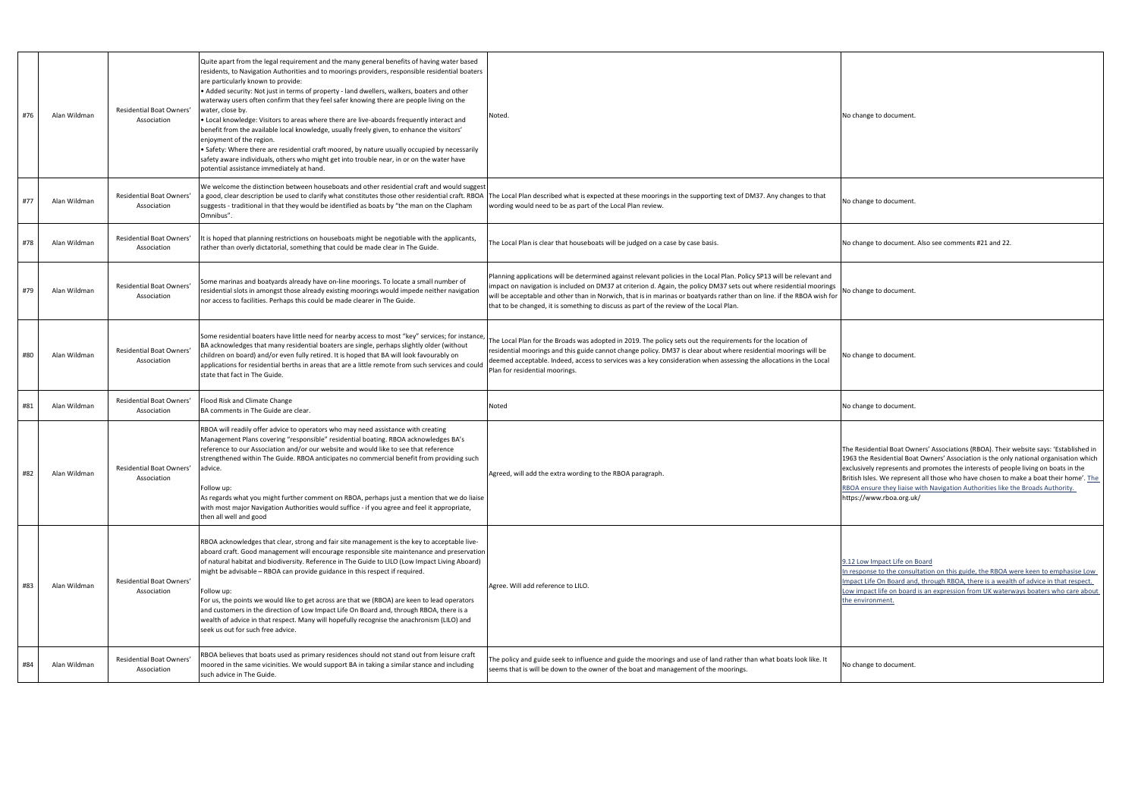| #76 | Alan Wildman | Residential Boat Owners'<br>Association | Quite apart from the legal requirement and the many general benefits of having water based<br>residents, to Navigation Authorities and to moorings providers, responsible residential boaters<br>are particularly known to provide:<br>• Added security: Not just in terms of property - land dwellers, walkers, boaters and other<br>waterway users often confirm that they feel safer knowing there are people living on the<br>water, close by.<br>. Local knowledge: Visitors to areas where there are live-aboards frequently interact and<br>benefit from the available local knowledge, usually freely given, to enhance the visitors'<br>enjoyment of the region.<br>Safety: Where there are residential craft moored, by nature usually occupied by necessarily S<br>safety aware individuals, others who might get into trouble near, in or on the water have<br>potential assistance immediately at hand. | Noted.                                                                                                                                                                                                                                                                                                                                                                                                                                                              | No change to document.                                                                                                                                             |
|-----|--------------|-----------------------------------------|----------------------------------------------------------------------------------------------------------------------------------------------------------------------------------------------------------------------------------------------------------------------------------------------------------------------------------------------------------------------------------------------------------------------------------------------------------------------------------------------------------------------------------------------------------------------------------------------------------------------------------------------------------------------------------------------------------------------------------------------------------------------------------------------------------------------------------------------------------------------------------------------------------------------|---------------------------------------------------------------------------------------------------------------------------------------------------------------------------------------------------------------------------------------------------------------------------------------------------------------------------------------------------------------------------------------------------------------------------------------------------------------------|--------------------------------------------------------------------------------------------------------------------------------------------------------------------|
| #77 | Alan Wildman | Residential Boat Owners'<br>Association | We welcome the distinction between houseboats and other residential craft and would suggest<br>suggests - traditional in that they would be identified as boats by "the man on the Clapham<br>Omnibus".                                                                                                                                                                                                                                                                                                                                                                                                                                                                                                                                                                                                                                                                                                              | i good, clear description be used to clarify what constitutes those other residential craft. RBOA  The Local Plan described what is expected at these moorings in the supporting text of DM37. Any changes to that<br>wording would need to be as part of the Local Plan review.                                                                                                                                                                                    | No change to document                                                                                                                                              |
| #78 | Alan Wildman | Residential Boat Owners'<br>Association | It is hoped that planning restrictions on houseboats might be negotiable with the applicants,<br>rather than overly dictatorial, something that could be made clear in The Guide.                                                                                                                                                                                                                                                                                                                                                                                                                                                                                                                                                                                                                                                                                                                                    | The Local Plan is clear that houseboats will be judged on a case by case basis.                                                                                                                                                                                                                                                                                                                                                                                     | No change to document.                                                                                                                                             |
| #79 | Alan Wildman | Residential Boat Owners'<br>Association | Some marinas and boatyards already have on-line moorings. To locate a small number of<br>residential slots in amongst those already existing moorings would impede neither navigation<br>nor access to facilities. Perhaps this could be made clearer in The Guide.                                                                                                                                                                                                                                                                                                                                                                                                                                                                                                                                                                                                                                                  | Planning applications will be determined against relevant policies in the Local Plan. Policy SP13 will be relevant and<br>impact on navigation is included on DM37 at criterion d. Again, the policy DM37 sets out where residential moorings<br>will be acceptable and other than in Norwich, that is in marinas or boatyards rather than on line. if the RBOA wish for<br>that to be changed, it is something to discuss as part of the review of the Local Plan. | No change to document.                                                                                                                                             |
| #80 | Alan Wildman | Residential Boat Owners'<br>Association | Some residential boaters have little need for nearby access to most "key" services; for instance,<br>BA acknowledges that many residential boaters are single, perhaps slightly older (without<br>children on board) and/or even fully retired. It is hoped that BA will look favourably on<br>applications for residential berths in areas that are a little remote from such services and could<br>state that fact in The Guide.                                                                                                                                                                                                                                                                                                                                                                                                                                                                                   | The Local Plan for the Broads was adopted in 2019. The policy sets out the requirements for the location of<br>residential moorings and this guide cannot change policy. DM37 is clear about where residential moorings will be<br>deemed acceptable. Indeed, access to services was a key consideration when assessing the allocations in the Local<br>Plan for residential moorings.                                                                              | No change to document                                                                                                                                              |
| #81 | Alan Wildman | Residential Boat Owners'<br>Association | Flood Risk and Climate Change<br>BA comments in The Guide are clear.                                                                                                                                                                                                                                                                                                                                                                                                                                                                                                                                                                                                                                                                                                                                                                                                                                                 | Noted                                                                                                                                                                                                                                                                                                                                                                                                                                                               | No change to document.                                                                                                                                             |
| #82 | Alan Wildman | Residential Boat Owners'<br>Association | RBOA will readily offer advice to operators who may need assistance with creating<br>Management Plans covering "responsible" residential boating. RBOA acknowledges BA's<br>reference to our Association and/or our website and would like to see that reference<br>strengthened within The Guide. RBOA anticipates no commercial benefit from providing such<br>advice.<br>Follow up:<br>As regards what you might further comment on RBOA, perhaps just a mention that we do liaise<br>with most major Navigation Authorities would suffice - if you agree and feel it appropriate,<br>then all well and good                                                                                                                                                                                                                                                                                                      | Agreed, will add the extra wording to the RBOA paragraph.                                                                                                                                                                                                                                                                                                                                                                                                           | The Residential Boat Ow<br>1963 the Residential Boa<br>exclusively represents ar<br>British Isles. We represe<br>RBOA ensure they liaise<br>https://www.rboa.org.u |
| #83 | Alan Wildman | Residential Boat Owners'<br>Association | RBOA acknowledges that clear, strong and fair site management is the key to acceptable live-<br>aboard craft. Good management will encourage responsible site maintenance and preservation<br>of natural habitat and biodiversity. Reference in The Guide to LILO (Low Impact Living Aboard)<br>might be advisable - RBOA can provide guidance in this respect if required.<br>Follow up:<br>For us, the points we would like to get across are that we (RBOA) are keen to lead operators<br>and customers in the direction of Low Impact Life On Board and, through RBOA, there is a<br>wealth of advice in that respect. Many will hopefully recognise the anachronism (LILO) and<br>seek us out for such free advice.                                                                                                                                                                                             | Agree. Will add reference to LILO.                                                                                                                                                                                                                                                                                                                                                                                                                                  | 9.12 Low Impact Life on<br>In response to the consu<br><b>Impact Life On Board and</b><br>Low impact life on board<br>the environment.                             |
| #84 | Alan Wildman | Residential Boat Owners'<br>Association | RBOA believes that boats used as primary residences should not stand out from leisure craft<br>moored in the same vicinities. We would support BA in taking a similar stance and including<br>such advice in The Guide.                                                                                                                                                                                                                                                                                                                                                                                                                                                                                                                                                                                                                                                                                              | The policy and guide seek to influence and guide the moorings and use of land rather than what boats look like. It<br>seems that is will be down to the owner of the boat and management of the moorings.                                                                                                                                                                                                                                                           | No change to document.                                                                                                                                             |

range to document. Also see comments #21 and 22.

Residential Boat Owners' Associations (RBOA). Their website says: 'Established in the Residential Boat Owners' Association is the only national organisation which sively represents and promotes the interests of people living on boats in the h Isles. We represent all those who have chosen to make a boat their home'. The Rensure they liaise with Navigation Authorities like the Broads Authority. ://www.rboa.org.uk/

Low Impact Life on Board

In response to the consultation on this guide, the RBOA were keen to emphasise Low act Life On Board and, through RBOA, there is a wealth of advice in that respect. mpact life on board is an expression from UK waterways boaters who care about nvironment.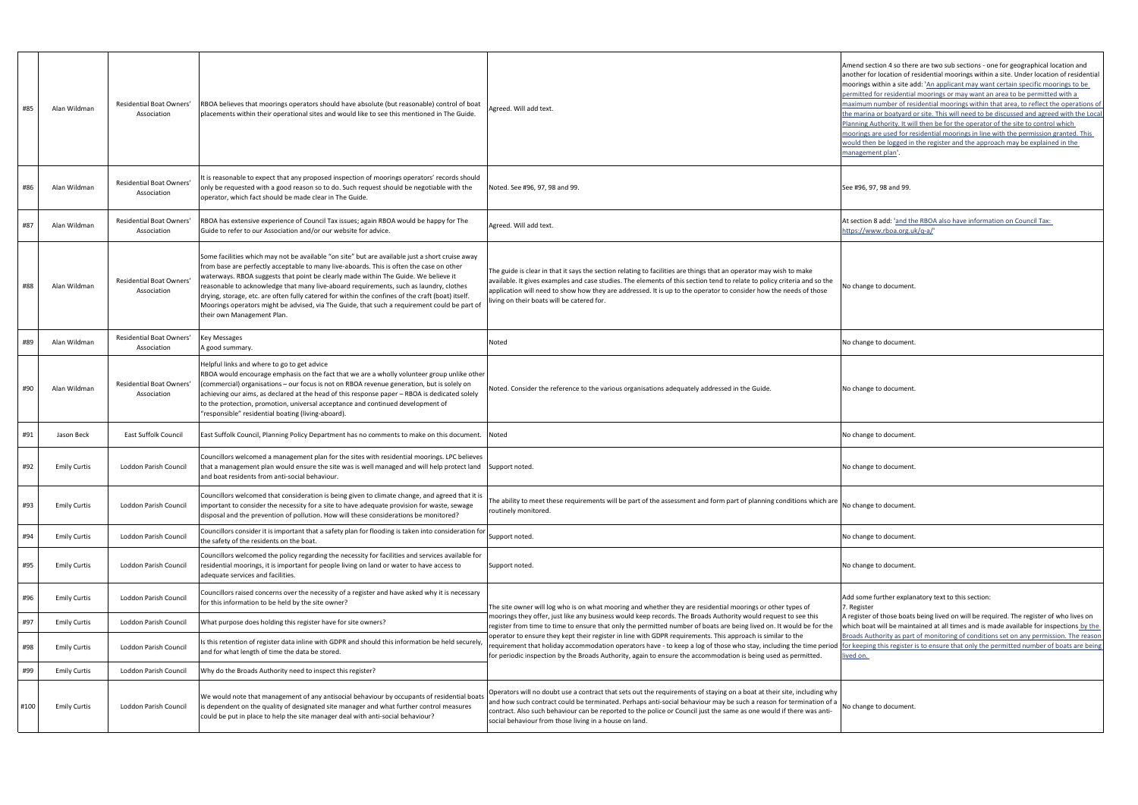| #85  | Alan Wildman        | Residential Boat Owners'<br>Association | RBOA believes that moorings operators should have absolute (but reasonable) control of boat<br>placements within their operational sites and would like to see this mentioned in The Guide.                                                                                                                                                                                                                                                                                                                                                                                                                     | Agreed. Will add text.                                                                                                                                                                                                                                                                                                                                                                                                          | Amend section 4 so ther<br>another for location of r<br>moorings within a site a<br>permitted for residentia<br>maximum number of res<br>the marina or boatyard<br>Planning Authority. It wi<br>moorings are used for re<br>would then be logged in<br>management plan. |
|------|---------------------|-----------------------------------------|-----------------------------------------------------------------------------------------------------------------------------------------------------------------------------------------------------------------------------------------------------------------------------------------------------------------------------------------------------------------------------------------------------------------------------------------------------------------------------------------------------------------------------------------------------------------------------------------------------------------|---------------------------------------------------------------------------------------------------------------------------------------------------------------------------------------------------------------------------------------------------------------------------------------------------------------------------------------------------------------------------------------------------------------------------------|-------------------------------------------------------------------------------------------------------------------------------------------------------------------------------------------------------------------------------------------------------------------------|
| #86  | Alan Wildman        | Residential Boat Owners'<br>Association | It is reasonable to expect that any proposed inspection of moorings operators' records should<br>only be requested with a good reason so to do. Such request should be negotiable with the<br>operator, which fact should be made clear in The Guide.                                                                                                                                                                                                                                                                                                                                                           | Noted. See #96, 97, 98 and 99.                                                                                                                                                                                                                                                                                                                                                                                                  | See #96, 97, 98 and 99.                                                                                                                                                                                                                                                 |
| #87  | Alan Wildman        | Residential Boat Owners'<br>Association | RBOA has extensive experience of Council Tax issues; again RBOA would be happy for The<br>Guide to refer to our Association and/or our website for advice.                                                                                                                                                                                                                                                                                                                                                                                                                                                      | Agreed. Will add text.                                                                                                                                                                                                                                                                                                                                                                                                          | At section 8 add: 'and th<br>https://www.rboa.org.u                                                                                                                                                                                                                     |
| #88  | Alan Wildman        | Residential Boat Owners'<br>Association | Some facilities which may not be available "on site" but are available just a short cruise away<br>from base are perfectly acceptable to many live-aboards. This is often the case on other<br>waterways. RBOA suggests that point be clearly made within The Guide. We believe it<br>reasonable to acknowledge that many live-aboard requirements, such as laundry, clothes<br>drying, storage, etc. are often fully catered for within the confines of the craft (boat) itself.<br>Moorings operators might be advised, via The Guide, that such a requirement could be part of<br>their own Management Plan. | The guide is clear in that it says the section relating to facilities are things that an operator may wish to make<br>available. It gives examples and case studies. The elements of this section tend to relate to policy criteria and so the<br>application will need to show how they are addressed. It is up to the operator to consider how the needs of those<br>iving on their boats will be catered for.                | No change to document                                                                                                                                                                                                                                                   |
| #89  | Alan Wildman        | Residential Boat Owners'<br>Association | <b>Key Messages</b><br>A good summary.                                                                                                                                                                                                                                                                                                                                                                                                                                                                                                                                                                          | Noted                                                                                                                                                                                                                                                                                                                                                                                                                           | No change to document                                                                                                                                                                                                                                                   |
| #90  | Alan Wildman        | Residential Boat Owners'<br>Association | Helpful links and where to go to get advice<br>RBOA would encourage emphasis on the fact that we are a wholly volunteer group unlike other<br>(commercial) organisations - our focus is not on RBOA revenue generation, but is solely on<br>achieving our aims, as declared at the head of this response paper - RBOA is dedicated solely<br>to the protection, promotion, universal acceptance and continued development of<br>"responsible" residential boating (living-aboard).                                                                                                                              | Noted. Consider the reference to the various organisations adequately addressed in the Guide.                                                                                                                                                                                                                                                                                                                                   | No change to document                                                                                                                                                                                                                                                   |
| #91  | Jason Beck          | <b>East Suffolk Council</b>             | East Suffolk Council, Planning Policy Department has no comments to make on this document.                                                                                                                                                                                                                                                                                                                                                                                                                                                                                                                      | Noted                                                                                                                                                                                                                                                                                                                                                                                                                           | No change to document                                                                                                                                                                                                                                                   |
| #92  | <b>Emily Curtis</b> | Loddon Parish Council                   | Councillors welcomed a management plan for the sites with residential moorings. LPC believes<br>that a management plan would ensure the site was is well managed and will help protect land Support noted.<br>and boat residents from anti-social behaviour.                                                                                                                                                                                                                                                                                                                                                    |                                                                                                                                                                                                                                                                                                                                                                                                                                 | No change to document                                                                                                                                                                                                                                                   |
| #93  | <b>Emily Curtis</b> | Loddon Parish Council                   | Councillors welcomed that consideration is being given to climate change, and agreed that it is<br>important to consider the necessity for a site to have adequate provision for waste, sewage<br>disposal and the prevention of pollution. How will these considerations be monitored?                                                                                                                                                                                                                                                                                                                         | The ability to meet these requirements will be part of the assessment and form part of planning conditions which are<br>routinely monitored.                                                                                                                                                                                                                                                                                    | No change to document                                                                                                                                                                                                                                                   |
| #94  | <b>Emily Curtis</b> | Loddon Parish Council                   | Councillors consider it is important that a safety plan for flooding is taken into consideration for<br>the safety of the residents on the boat.                                                                                                                                                                                                                                                                                                                                                                                                                                                                | Support noted.                                                                                                                                                                                                                                                                                                                                                                                                                  | No change to document                                                                                                                                                                                                                                                   |
| #95  | <b>Emily Curtis</b> | Loddon Parish Council                   | Councillors welcomed the policy regarding the necessity for facilities and services available for<br>residential moorings, it is important for people living on land or water to have access to<br>adequate services and facilities.                                                                                                                                                                                                                                                                                                                                                                            | Support noted.                                                                                                                                                                                                                                                                                                                                                                                                                  | No change to document                                                                                                                                                                                                                                                   |
| #96  | <b>Emily Curtis</b> | Loddon Parish Council                   | Councillors raised concerns over the necessity of a register and have asked why it is necessary<br>for this information to be held by the site owner?                                                                                                                                                                                                                                                                                                                                                                                                                                                           | The site owner will log who is on what mooring and whether they are residential moorings or other types of                                                                                                                                                                                                                                                                                                                      | Add some further explar<br>7. Register                                                                                                                                                                                                                                  |
| #97  | <b>Emily Curtis</b> | Loddon Parish Council                   | What purpose does holding this register have for site owners?                                                                                                                                                                                                                                                                                                                                                                                                                                                                                                                                                   | moorings they offer, just like any business would keep records. The Broads Authority would request to see this<br>register from time to time to ensure that only the permitted number of boats are being lived on. It would be for the                                                                                                                                                                                          | A register of those boats<br>which boat will be maint                                                                                                                                                                                                                   |
| #98  | <b>Emily Curtis</b> | Loddon Parish Council                   | Is this retention of register data inline with GDPR and should this information be held securely,<br>and for what length of time the data be stored.                                                                                                                                                                                                                                                                                                                                                                                                                                                            | operator to ensure they kept their register in line with GDPR requirements. This approach is similar to the<br>requirement that holiday accommodation operators have - to keep a log of those who stay, including the time period<br>for periodic inspection by the Broads Authority, again to ensure the accommodation is being used as permitted.                                                                             | <b>Broads Authority as part</b><br>for keeping this register<br><u>lived on.</u>                                                                                                                                                                                        |
| #99  | <b>Emily Curtis</b> | Loddon Parish Council                   | Why do the Broads Authority need to inspect this register?                                                                                                                                                                                                                                                                                                                                                                                                                                                                                                                                                      |                                                                                                                                                                                                                                                                                                                                                                                                                                 |                                                                                                                                                                                                                                                                         |
| #100 | <b>Emily Curtis</b> | Loddon Parish Council                   | We would note that management of any antisocial behaviour by occupants of residential boats<br>is dependent on the quality of designated site manager and what further control measures<br>could be put in place to help the site manager deal with anti-social behaviour?                                                                                                                                                                                                                                                                                                                                      | Operators will no doubt use a contract that sets out the requirements of staying on a boat at their site, including why<br>and how such contract could be terminated. Perhaps anti-social behaviour may be such a reason for termination of a<br>contract. Also such behaviour can be reported to the police or Council just the same as one would if there was anti-<br>social behaviour from those living in a house on land. | No change to document                                                                                                                                                                                                                                                   |

nd section 4 so there are two sub sections - one for geographical location and her for location of residential moorings within a site. Under location of residential ings within a site add: 'An applicant may want certain specific moorings to be itted for residential moorings or may want an area to be permitted with a mum number of residential moorings within that area, to reflect the operations of harina or boatyard or site. This will need to be discussed and agreed with the Local ing Authority. It will then be for the operator of the site to control which ings are used for residential moorings in line with the permission granted. This d then be logged in the register and the approach may be explained in the igement plan'.

tion 8 add: '<u>and the RBOA also have information on Council Tax:</u> https://www.rboa.org.uk/q-a/

ome further explanatory text to this section: gister

ister of those boats being lived on will be required. The register of who lives on i boat will be maintained at all times and is made available for inspections by the ds Authority as part of monitoring of conditions set on any permission. The reason eeping this register is to ensure that only the permitted number of boats are being on.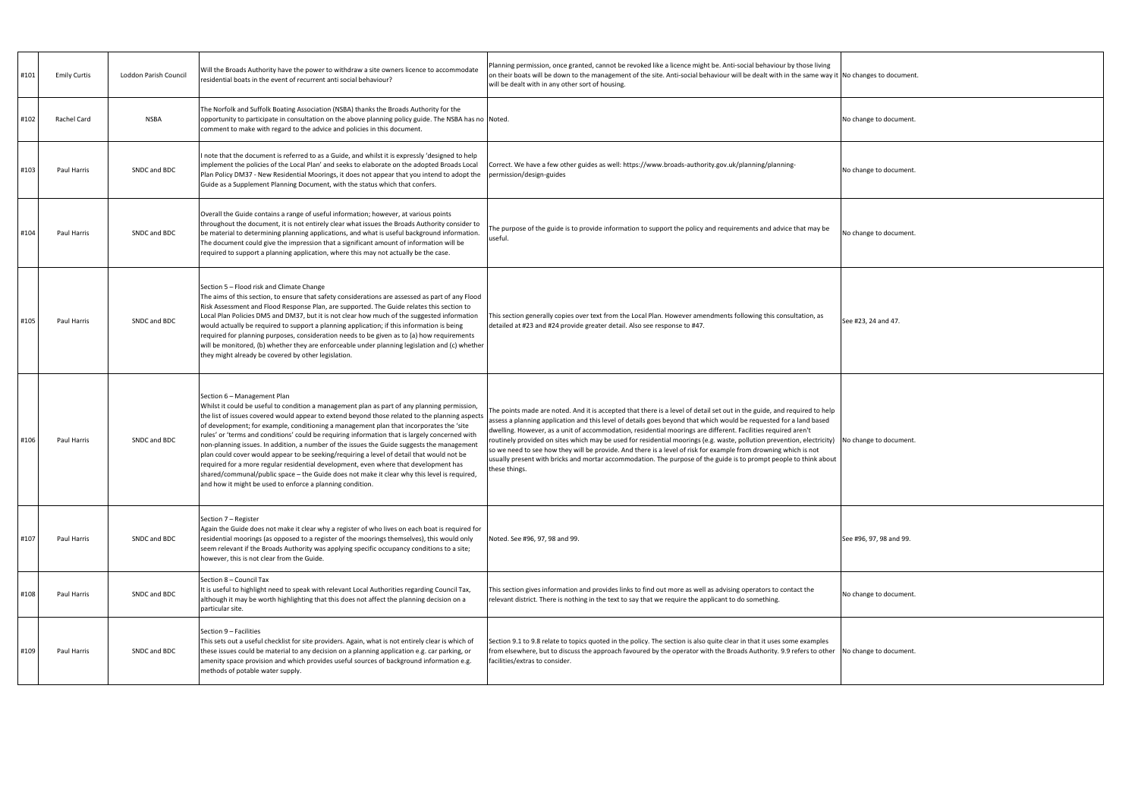| #101 | <b>Emily Curtis</b> | Loddon Parish Council | Will the Broads Authority have the power to withdraw a site owners licence to accommodate<br>residential boats in the event of recurrent anti social behaviour?                                                                                                                                                                                                                                                                                                                                                                                                                                                                                                                                                                                                                                                                                                           | Planning permission, once granted, cannot be revoked like a licence might be. Anti-social behaviour by those living<br>on their boats will be down to the management of the site. Anti-social behaviour will be dealt with in the same way it No changes to documen<br>will be dealt with in any other sort of housing.                                                                                                                                                                                                                                                                                                                                                                                                                            |                         |
|------|---------------------|-----------------------|---------------------------------------------------------------------------------------------------------------------------------------------------------------------------------------------------------------------------------------------------------------------------------------------------------------------------------------------------------------------------------------------------------------------------------------------------------------------------------------------------------------------------------------------------------------------------------------------------------------------------------------------------------------------------------------------------------------------------------------------------------------------------------------------------------------------------------------------------------------------------|----------------------------------------------------------------------------------------------------------------------------------------------------------------------------------------------------------------------------------------------------------------------------------------------------------------------------------------------------------------------------------------------------------------------------------------------------------------------------------------------------------------------------------------------------------------------------------------------------------------------------------------------------------------------------------------------------------------------------------------------------|-------------------------|
| #102 | Rachel Card         | NSBA                  | The Norfolk and Suffolk Boating Association (NSBA) thanks the Broads Authority for the<br>opportunity to participate in consultation on the above planning policy guide. The NSBA has no Noted.<br>comment to make with regard to the advice and policies in this document.                                                                                                                                                                                                                                                                                                                                                                                                                                                                                                                                                                                               |                                                                                                                                                                                                                                                                                                                                                                                                                                                                                                                                                                                                                                                                                                                                                    | No change to document   |
| #103 | Paul Harris         | SNDC and BDC          | note that the document is referred to as a Guide, and whilst it is expressly 'designed to help<br>implement the policies of the Local Plan' and seeks to elaborate on the adopted Broads Local<br>Plan Policy DM37 - New Residential Moorings, it does not appear that you intend to adopt the<br>Guide as a Supplement Planning Document, with the status which that confers.                                                                                                                                                                                                                                                                                                                                                                                                                                                                                            | Correct. We have a few other guides as well: https://www.broads-authority.gov.uk/planning/planning-<br>permission/design-guides                                                                                                                                                                                                                                                                                                                                                                                                                                                                                                                                                                                                                    | No change to document.  |
| #104 | Paul Harris         | SNDC and BDC          | Overall the Guide contains a range of useful information; however, at various points<br>throughout the document, it is not entirely clear what issues the Broads Authority consider to<br>be material to determining planning applications, and what is useful background information.<br>The document could give the impression that a significant amount of information will be<br>required to support a planning application, where this may not actually be the case.                                                                                                                                                                                                                                                                                                                                                                                                 | The purpose of the guide is to provide information to support the policy and requirements and advice that may be<br>useful.                                                                                                                                                                                                                                                                                                                                                                                                                                                                                                                                                                                                                        | No change to document   |
| #105 | Paul Harris         | SNDC and BDC          | Section 5 - Flood risk and Climate Change<br>The aims of this section, to ensure that safety considerations are assessed as part of any Flood<br>Risk Assessment and Flood Response Plan, are supported. The Guide relates this section to<br>Local Plan Policies DM5 and DM37, but it is not clear how much of the suggested information<br>would actually be required to support a planning application; if this information is being<br>required for planning purposes, consideration needs to be given as to (a) how requirements<br>will be monitored, (b) whether they are enforceable under planning legislation and (c) whether<br>they might already be covered by other legislation.                                                                                                                                                                            | This section generally copies over text from the Local Plan. However amendments following this consultation, as<br>detailed at #23 and #24 provide greater detail. Also see response to #47.                                                                                                                                                                                                                                                                                                                                                                                                                                                                                                                                                       | See #23, 24 and 47.     |
| #106 | Paul Harris         | SNDC and BDC          | Section 6 - Management Plan<br>Whilst it could be useful to condition a management plan as part of any planning permission,<br>the list of issues covered would appear to extend beyond those related to the planning aspects<br>of development; for example, conditioning a management plan that incorporates the 'site<br>rules' or 'terms and conditions' could be requiring information that is largely concerned with<br>non-planning issues. In addition, a number of the issues the Guide suggests the management<br>plan could cover would appear to be seeking/requiring a level of detail that would not be<br>required for a more regular residential development, even where that development has<br>shared/communal/public space – the Guide does not make it clear why this level is required,<br>and how it might be used to enforce a planning condition. | The points made are noted. And it is accepted that there is a level of detail set out in the guide, and required to help<br>assess a planning application and this level of details goes beyond that which would be requested for a land based<br>dwelling. However, as a unit of accommodation, residential moorings are different. Facilities required aren't<br>routinely provided on sites which may be used for residential moorings (e.g. waste, pollution prevention, electricity)<br>so we need to see how they will be provide. And there is a level of risk for example from drowning which is not<br>usually present with bricks and mortar accommodation. The purpose of the guide is to prompt people to think about<br>these things. | No change to document.  |
| #107 | Paul Harris         | SNDC and BDC          | Section 7 - Register<br>Again the Guide does not make it clear why a register of who lives on each boat is required for<br>residential moorings (as opposed to a register of the moorings themselves), this would only<br>seem relevant if the Broads Authority was applying specific occupancy conditions to a site;<br>however, this is not clear from the Guide.                                                                                                                                                                                                                                                                                                                                                                                                                                                                                                       | Noted. See #96, 97, 98 and 99.                                                                                                                                                                                                                                                                                                                                                                                                                                                                                                                                                                                                                                                                                                                     | See #96, 97, 98 and 99. |
| #108 | Paul Harris         | SNDC and BDC          | Section 8 - Council Tax<br>It is useful to highlight need to speak with relevant Local Authorities regarding Council Tax,<br>although it may be worth highlighting that this does not affect the planning decision on a<br>particular site.                                                                                                                                                                                                                                                                                                                                                                                                                                                                                                                                                                                                                               | This section gives information and provides links to find out more as well as advising operators to contact the<br>relevant district. There is nothing in the text to say that we require the applicant to do something.                                                                                                                                                                                                                                                                                                                                                                                                                                                                                                                           | No change to document   |
| #109 | Paul Harris         | SNDC and BDC          | Section 9 - Facilities<br>This sets out a useful checklist for site providers. Again, what is not entirely clear is which of<br>these issues could be material to any decision on a planning application e.g. car parking, or<br>amenity space provision and which provides useful sources of background information e.g.<br>methods of potable water supply.                                                                                                                                                                                                                                                                                                                                                                                                                                                                                                             | Section 9.1 to 9.8 relate to topics quoted in the policy. The section is also quite clear in that it uses some examples<br>from elsewhere, but to discuss the approach favoured by the operator with the Broads Authority. 9.9 refers to other<br>facilities/extras to consider.                                                                                                                                                                                                                                                                                                                                                                                                                                                                   | No change to document   |

anges to document.